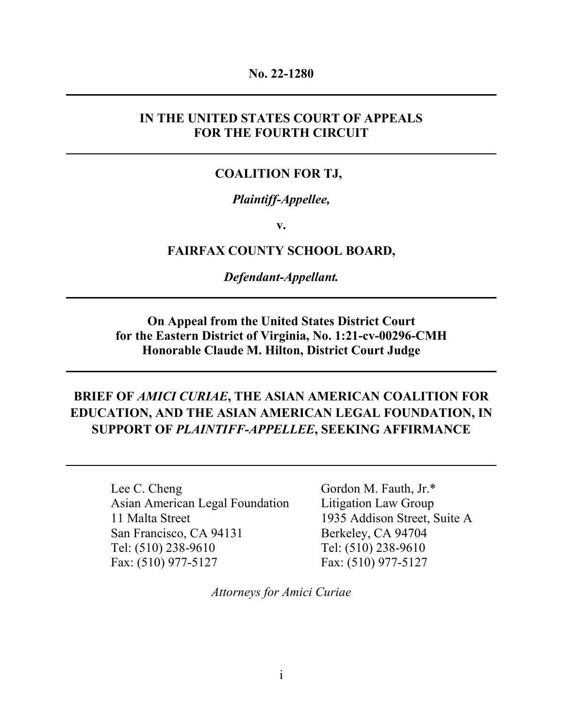#### **No. 22-1280**

## **IN THE UNITED STATES COURT OF APPEALS FOR THE FOURTH CIRCUIT**

#### **COALITION FOR TJ,**

#### *Plaintiff-Appellee,*

**v.** 

#### **FAIRFAX COUNTY SCHOOL BOARD,**

#### *Defendant-Appellant.*

## **On Appeal from the United States District Court for the Eastern District of Virginia, No. 1:21-cv-00296-CMH Honorable Claude M. Hilton, District Court Judge**

## **BRIEF OF** *AMICI CURIAE***, THE ASIAN AMERICAN COALITION FOR EDUCATION, AND THE ASIAN AMERICAN LEGAL FOUNDATION, IN SUPPORT OF** *PLAINTIFF-APPELLEE***, SEEKING AFFIRMANCE**

Lee C. Cheng Asian American Legal Foundation 11 Malta Street San Francisco, CA 94131 Tel: (510) 238-9610 Fax: (510) 977-5127

Gordon M. Fauth, Jr.\* Litigation Law Group 1935 Addison Street, Suite A Berkeley, CA 94704 Tel: (510) 238-9610 Fax: (510) 977-5127

*Attorneys for Amici Curiae*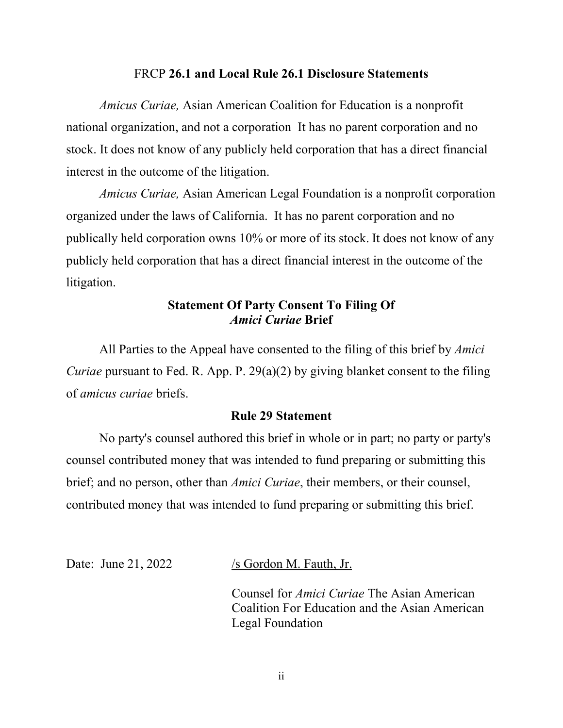#### FRCP **26.1 and Local Rule 26.1 Disclosure Statements**

*Amicus Curiae,* Asian American Coalition for Education is a nonprofit national organization, and not a corporation It has no parent corporation and no stock. It does not know of any publicly held corporation that has a direct financial interest in the outcome of the litigation.

*Amicus Curiae,* Asian American Legal Foundation is a nonprofit corporation organized under the laws of California. It has no parent corporation and no publically held corporation owns 10% or more of its stock. It does not know of any publicly held corporation that has a direct financial interest in the outcome of the litigation.

## **Statement Of Party Consent To Filing Of**  *Amici Curiae* **Brief**

 All Parties to the Appeal have consented to the filing of this brief by *Amici Curiae* pursuant to Fed. R. App. P. 29(a)(2) by giving blanket consent to the filing of *amicus curiae* briefs.

#### **Rule 29 Statement**

No party's counsel authored this brief in whole or in part; no party or party's counsel contributed money that was intended to fund preparing or submitting this brief; and no person, other than *Amici Curiae*, their members, or their counsel, contributed money that was intended to fund preparing or submitting this brief.

Date: June 21, 2022  $/$ s Gordon M. Fauth, Jr.

Counsel for *Amici Curiae* The Asian American Coalition For Education and the Asian American Legal Foundation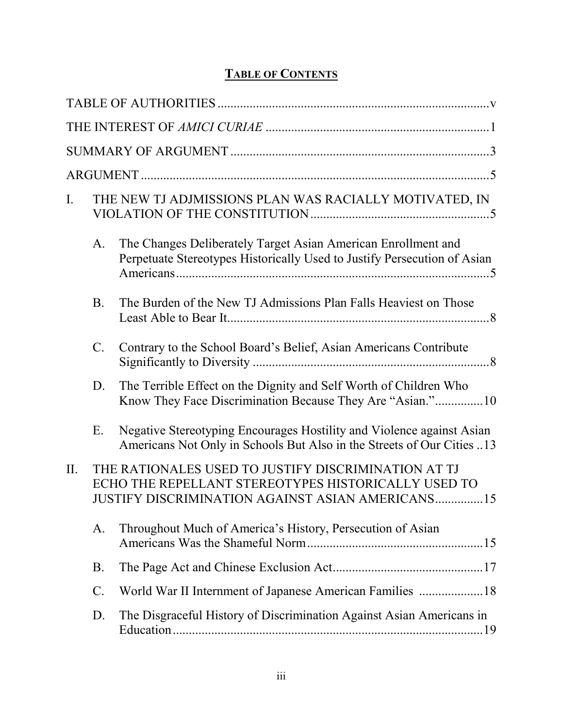# **TABLE OF CONTENTS**

| $\mathbf{I}$ . |                 | THE NEW TJ ADJMISSIONS PLAN WAS RACIALLY MOTIVATED, IN                                                                                                                |  |
|----------------|-----------------|-----------------------------------------------------------------------------------------------------------------------------------------------------------------------|--|
|                | A.              | The Changes Deliberately Target Asian American Enrollment and<br>Perpetuate Stereotypes Historically Used to Justify Persecution of Asian                             |  |
|                | <b>B.</b>       | The Burden of the New TJ Admissions Plan Falls Heaviest on Those                                                                                                      |  |
|                | C.              | Contrary to the School Board's Belief, Asian Americans Contribute                                                                                                     |  |
|                | D.              | The Terrible Effect on the Dignity and Self Worth of Children Who<br>Know They Face Discrimination Because They Are "Asian."10                                        |  |
|                | Ε.              | Negative Stereotyping Encourages Hostility and Violence against Asian<br>Americans Not Only in Schools But Also in the Streets of Our Cities 13                       |  |
| II.            |                 | THE RATIONALES USED TO JUSTIFY DISCRIMINATION AT TJ<br>ECHO THE REPELLANT STEREOTYPES HISTORICALLY USED TO<br><b>JUSTIFY DISCRIMINATION AGAINST ASIAN AMERICANS15</b> |  |
|                | A.              | Throughout Much of America's History, Persecution of Asian                                                                                                            |  |
|                | B.              |                                                                                                                                                                       |  |
|                | $\mathcal{C}$ . | World War II Internment of Japanese American Families 18                                                                                                              |  |
|                | D.              | The Disgraceful History of Discrimination Against Asian Americans in                                                                                                  |  |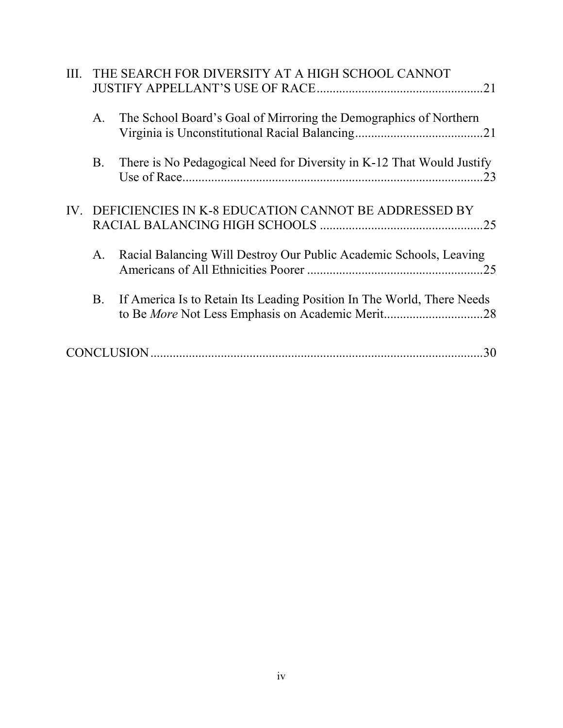| III. |           | THE SEARCH FOR DIVERSITY AT A HIGH SCHOOL CANNOT<br>.21                                                                    |
|------|-----------|----------------------------------------------------------------------------------------------------------------------------|
|      | A.        | The School Board's Goal of Mirroring the Demographics of Northern                                                          |
|      | <b>B.</b> | There is No Pedagogical Need for Diversity in K-12 That Would Justify                                                      |
|      |           | IV. DEFICIENCIES IN K-8 EDUCATION CANNOT BE ADDRESSED BY<br>.25                                                            |
|      | A.        | Racial Balancing Will Destroy Our Public Academic Schools, Leaving<br>.25                                                  |
|      | <b>B.</b> | If America Is to Retain Its Leading Position In The World, There Needs<br>to Be More Not Less Emphasis on Academic Merit28 |
|      |           | .30                                                                                                                        |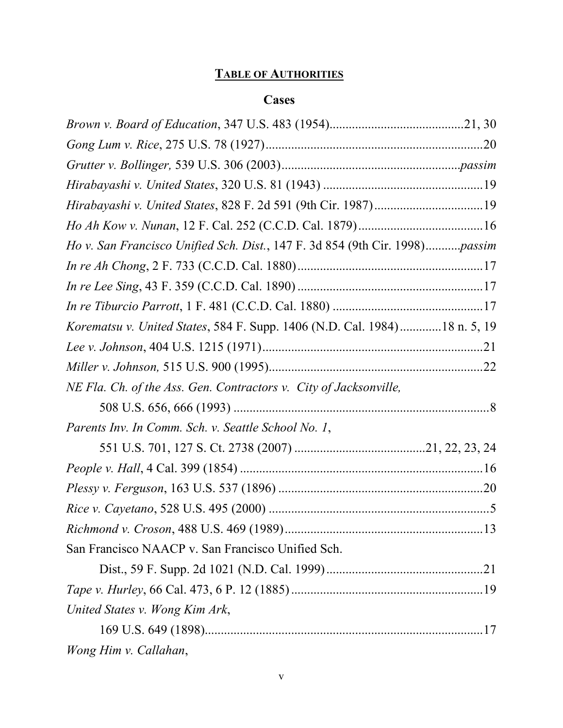# **TABLE OF AUTHORITIES**

# **Cases**

| Hirabayashi v. United States, 828 F. 2d 591 (9th Cir. 1987)19               |  |
|-----------------------------------------------------------------------------|--|
|                                                                             |  |
| Ho v. San Francisco Unified Sch. Dist., 147 F. 3d 854 (9th Cir. 1998)passim |  |
|                                                                             |  |
|                                                                             |  |
|                                                                             |  |
| Korematsu v. United States, 584 F. Supp. 1406 (N.D. Cal. 1984)18 n. 5, 19   |  |
|                                                                             |  |
|                                                                             |  |
| NE Fla. Ch. of the Ass. Gen. Contractors v. City of Jacksonville,           |  |
|                                                                             |  |
| Parents Inv. In Comm. Sch. v. Seattle School No. 1,                         |  |
|                                                                             |  |
|                                                                             |  |
|                                                                             |  |
|                                                                             |  |
|                                                                             |  |
| San Francisco NAACP v. San Francisco Unified Sch.                           |  |
|                                                                             |  |
|                                                                             |  |
| United States v. Wong Kim Ark,                                              |  |
|                                                                             |  |
| Wong Him v. Callahan,                                                       |  |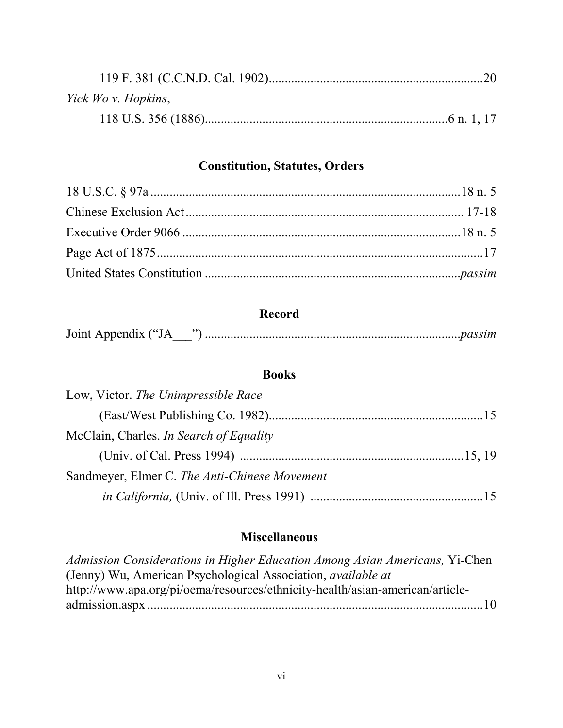| Yick Wo v. Hopkins, |  |
|---------------------|--|
|                     |  |

## **Constitution, Statutes, Orders**

## **Record**

| Joint Appendix ("J. |  |  |
|---------------------|--|--|
|---------------------|--|--|

## **Books**

## **Miscellaneous**

*Admission Considerations in Higher Education Among Asian Americans,* Yi-Chen (Jenny) Wu, American Psychological Association, *available at* http://www.apa.org/pi/oema/resources/ethnicity-health/asian-american/articleadmission.aspx ......................................................................................................... 10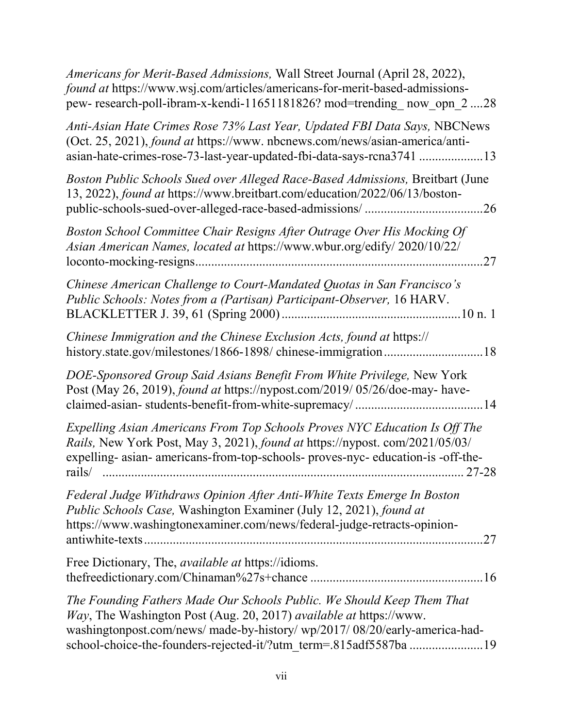| Americans for Merit-Based Admissions, Wall Street Journal (April 28, 2022),<br>found at https://www.wsj.com/articles/americans-for-merit-based-admissions-<br>pew- research-poll-ibram-x-kendi-11651181826? mod=trending now opn 228                                                             |
|--------------------------------------------------------------------------------------------------------------------------------------------------------------------------------------------------------------------------------------------------------------------------------------------------|
| Anti-Asian Hate Crimes Rose 73% Last Year, Updated FBI Data Says, NBCNews<br>(Oct. 25, 2021), found at https://www.nbcnews.com/news/asian-america/anti-<br>asian-hate-crimes-rose-73-last-year-updated-fbi-data-says-rcna3741 13                                                                 |
| Boston Public Schools Sued over Alleged Race-Based Admissions, Breitbart (June<br>13, 2022), found at https://www.breitbart.com/education/2022/06/13/boston-                                                                                                                                     |
| Boston School Committee Chair Resigns After Outrage Over His Mocking Of<br>Asian American Names, located at https://www.wbur.org/edify/ 2020/10/22/<br>.27                                                                                                                                       |
| Chinese American Challenge to Court-Mandated Quotas in San Francisco's<br>Public Schools: Notes from a (Partisan) Participant-Observer, 16 HARV.                                                                                                                                                 |
| Chinese Immigration and the Chinese Exclusion Acts, found at https://<br>history.state.gov/milestones/1866-1898/ chinese-immigration18                                                                                                                                                           |
| DOE-Sponsored Group Said Asians Benefit From White Privilege, New York<br>Post (May 26, 2019), found at https://nypost.com/2019/05/26/doe-may- have-                                                                                                                                             |
| Expelling Asian Americans From Top Schools Proves NYC Education Is Off The<br><i>Rails</i> , New York Post, May 3, 2021), found at https://nypost.com/2021/05/03/<br>expelling- asian- americans-from-top-schools- proves-nyc- education-is -off-the-                                            |
| Federal Judge Withdraws Opinion After Anti-White Texts Emerge In Boston<br>Public Schools Case, Washington Examiner (July 12, 2021), found at<br>https://www.washingtonexaminer.com/news/federal-judge-retracts-opinion-                                                                         |
| Free Dictionary, The, <i>available at</i> https://idioms.                                                                                                                                                                                                                                        |
| The Founding Fathers Made Our Schools Public. We Should Keep Them That<br>Way, The Washington Post (Aug. 20, 2017) available at https://www.<br>washingtonpost.com/news/ made-by-history/ wp/2017/ 08/20/early-america-had-<br>school-choice-the-founders-rejected-it/?utm_term=.815adf5587ba 19 |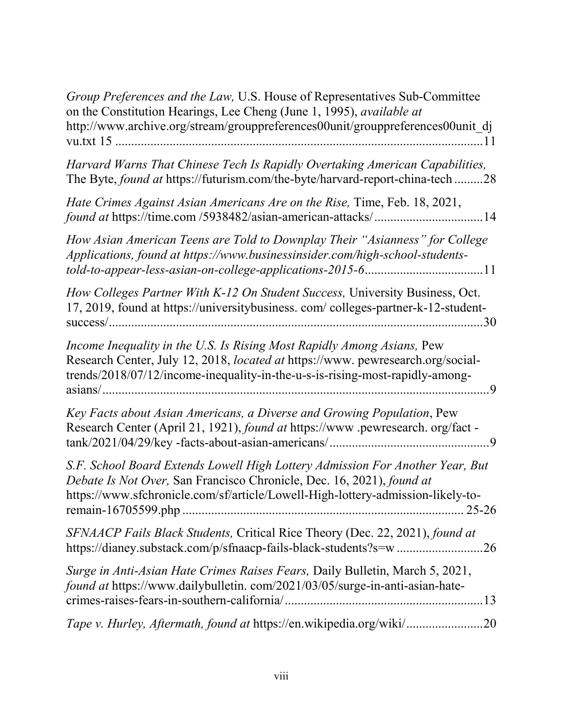| Group Preferences and the Law, U.S. House of Representatives Sub-Committee<br>on the Constitution Hearings, Lee Cheng (June 1, 1995), available at<br>http://www.archive.org/stream/grouppreferences00unit/grouppreferences00unit_dj      |
|-------------------------------------------------------------------------------------------------------------------------------------------------------------------------------------------------------------------------------------------|
| Harvard Warns That Chinese Tech Is Rapidly Overtaking American Capabilities,<br>The Byte, found at https://futurism.com/the-byte/harvard-report-china-tech 28                                                                             |
| Hate Crimes Against Asian Americans Are on the Rise, Time, Feb. 18, 2021,<br>found at https://time.com/5938482/asian-american-attacks/14                                                                                                  |
| How Asian American Teens are Told to Downplay Their "Asianness" for College<br>Applications, found at https://www.businessinsider.com/high-school-students-                                                                               |
| How Colleges Partner With K-12 On Student Success, University Business, Oct.<br>17, 2019, found at https://universitybusiness.com/colleges-partner-k-12-student-                                                                          |
| Income Inequality in the U.S. Is Rising Most Rapidly Among Asians, Pew<br>Research Center, July 12, 2018, located at https://www.pewresearch.org/social-<br>trends/2018/07/12/income-inequality-in-the-u-s-is-rising-most-rapidly-among-  |
| Key Facts about Asian Americans, a Diverse and Growing Population, Pew<br>Research Center (April 21, 1921), found at https://www.pewresearch.org/fact -                                                                                   |
| S.F. School Board Extends Lowell High Lottery Admission For Another Year, But<br>Debate Is Not Over, San Francisco Chronicle, Dec. 16, 2021), found at<br>https://www.sfchronicle.com/sf/article/Lowell-High-lottery-admission-likely-to- |
| SFNAACP Fails Black Students, Critical Rice Theory (Dec. 22, 2021), found at<br>https://dianey.substack.com/p/sfnaacp-fails-black-students?s=w 26                                                                                         |
| Surge in Anti-Asian Hate Crimes Raises Fears, Daily Bulletin, March 5, 2021,<br>found at https://www.dailybulletin.com/2021/03/05/surge-in-anti-asian-hate-                                                                               |
| Tape v. Hurley, Aftermath, found at https://en.wikipedia.org/wiki/20                                                                                                                                                                      |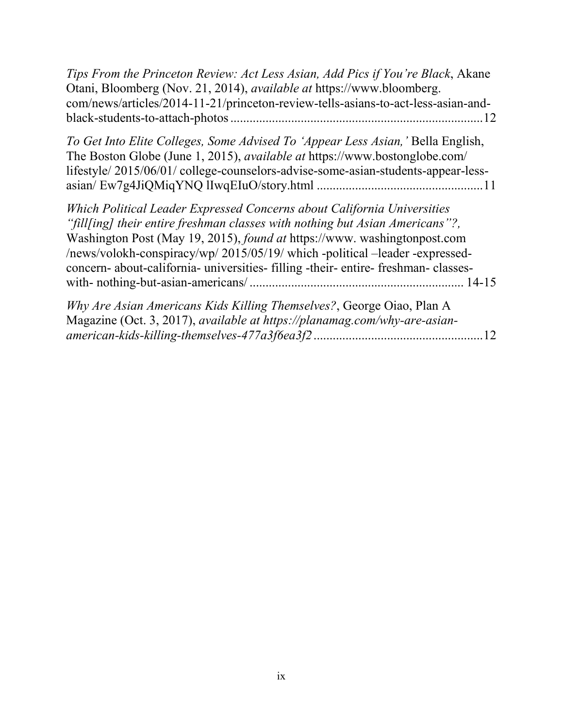| Tips From the Princeton Review: Act Less Asian, Add Pics if You're Black, Akane<br>Otani, Bloomberg (Nov. 21, 2014), <i>available at</i> https://www.bloomberg.<br>com/news/articles/2014-11-21/princeton-review-tells-asians-to-act-less-asian-and-<br>12                                                                                                                                                 |
|------------------------------------------------------------------------------------------------------------------------------------------------------------------------------------------------------------------------------------------------------------------------------------------------------------------------------------------------------------------------------------------------------------|
| To Get Into Elite Colleges, Some Advised To 'Appear Less Asian,' Bella English,<br>The Boston Globe (June 1, 2015), <i>available at</i> https://www.bostonglobe.com/<br>lifestyle/2015/06/01/college-counselors-advise-some-asian-students-appear-less-                                                                                                                                                    |
| Which Political Leader Expressed Concerns about California Universities<br>"fill[ing] their entire freshman classes with nothing but Asian Americans"?,<br>Washington Post (May 19, 2015), found at https://www. washingtonpost.com<br>/news/volokh-conspiracy/wp/ 2015/05/19/ which -political -leader -expressed-<br>concern- about-california- universities- filling -their- entire- freshman- classes- |
| Why Are Asian Americans Kids Killing Themselves?, George Oiao, Plan A<br>Magazine (Oct. 3, 2017), available at https://planamag.com/why-are-asian-<br>12                                                                                                                                                                                                                                                   |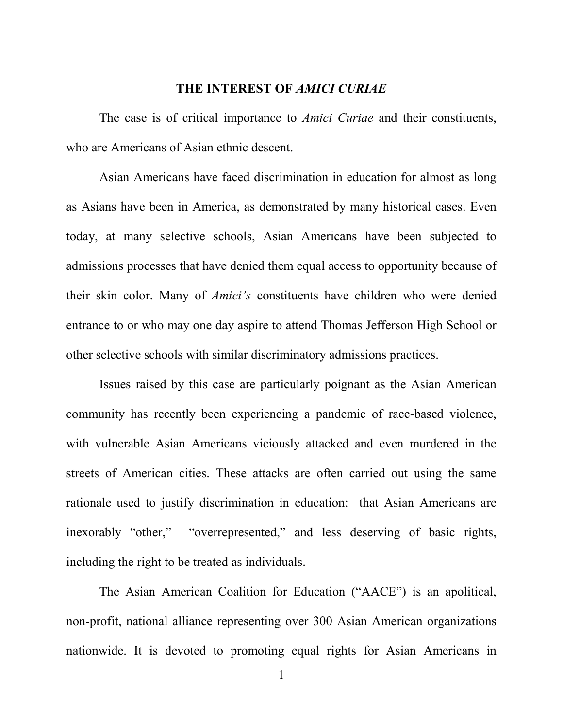#### **THE INTEREST OF** *AMICI CURIAE*

 The case is of critical importance to *Amici Curiae* and their constituents, who are Americans of Asian ethnic descent.

 Asian Americans have faced discrimination in education for almost as long as Asians have been in America, as demonstrated by many historical cases. Even today, at many selective schools, Asian Americans have been subjected to admissions processes that have denied them equal access to opportunity because of their skin color. Many of *Amici's* constituents have children who were denied entrance to or who may one day aspire to attend Thomas Jefferson High School or other selective schools with similar discriminatory admissions practices.

 Issues raised by this case are particularly poignant as the Asian American community has recently been experiencing a pandemic of race-based violence, with vulnerable Asian Americans viciously attacked and even murdered in the streets of American cities. These attacks are often carried out using the same rationale used to justify discrimination in education: that Asian Americans are inexorably "other," "overrepresented," and less deserving of basic rights, including the right to be treated as individuals.

 The Asian American Coalition for Education ("AACE") is an apolitical, non-profit, national alliance representing over 300 Asian American organizations nationwide. It is devoted to promoting equal rights for Asian Americans in

1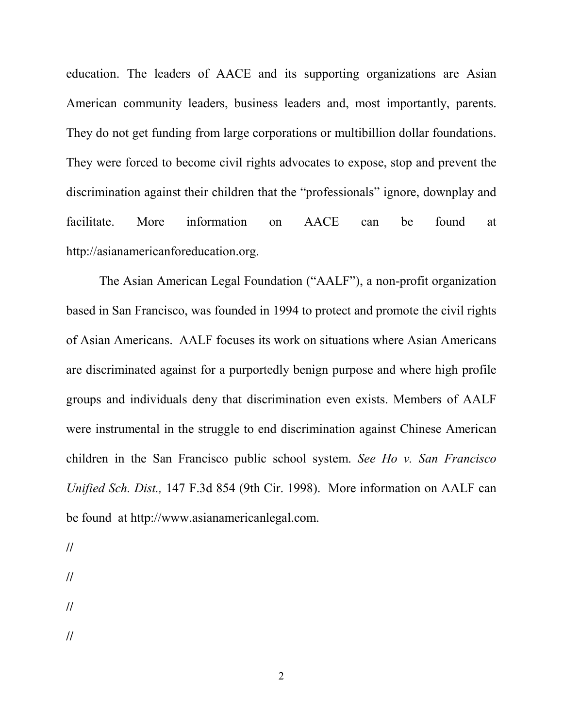education. The leaders of AACE and its supporting organizations are Asian American community leaders, business leaders and, most importantly, parents. They do not get funding from large corporations or multibillion dollar foundations. They were forced to become civil rights advocates to expose, stop and prevent the discrimination against their children that the "professionals" ignore, downplay and facilitate. More information on AACE can be found at http://asianamericanforeducation.org.

 The Asian American Legal Foundation ("AALF"), a non-profit organization based in San Francisco, was founded in 1994 to protect and promote the civil rights of Asian Americans. AALF focuses its work on situations where Asian Americans are discriminated against for a purportedly benign purpose and where high profile groups and individuals deny that discrimination even exists. Members of AALF were instrumental in the struggle to end discrimination against Chinese American children in the San Francisco public school system. *See Ho v. San Francisco Unified Sch. Dist.,* 147 F.3d 854 (9th Cir. 1998). More information on AALF can be found at http://www.asianamericanlegal.com.

- **//**
- **//**
- 
- **//**
- **//**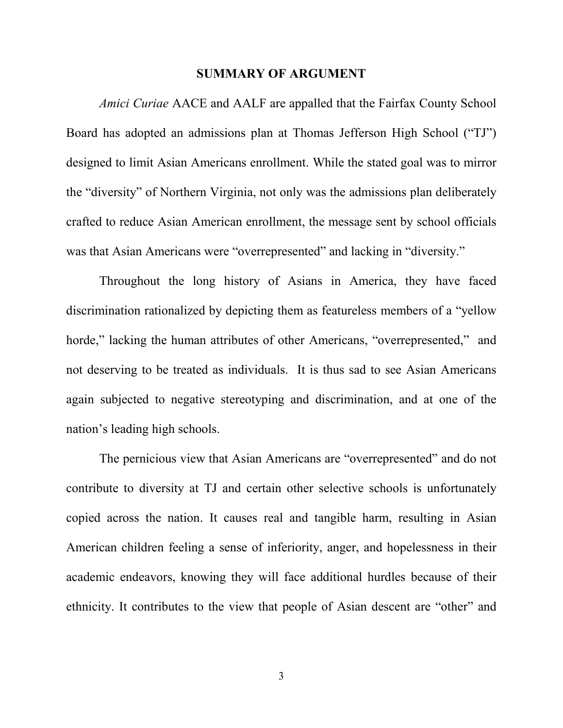#### **SUMMARY OF ARGUMENT**

*Amici Curiae* AACE and AALF are appalled that the Fairfax County School Board has adopted an admissions plan at Thomas Jefferson High School ("TJ") designed to limit Asian Americans enrollment. While the stated goal was to mirror the "diversity" of Northern Virginia, not only was the admissions plan deliberately crafted to reduce Asian American enrollment, the message sent by school officials was that Asian Americans were "overrepresented" and lacking in "diversity."

 Throughout the long history of Asians in America, they have faced discrimination rationalized by depicting them as featureless members of a "yellow horde," lacking the human attributes of other Americans, "overrepresented," and not deserving to be treated as individuals. It is thus sad to see Asian Americans again subjected to negative stereotyping and discrimination, and at one of the nation's leading high schools.

 The pernicious view that Asian Americans are "overrepresented" and do not contribute to diversity at TJ and certain other selective schools is unfortunately copied across the nation. It causes real and tangible harm, resulting in Asian American children feeling a sense of inferiority, anger, and hopelessness in their academic endeavors, knowing they will face additional hurdles because of their ethnicity. It contributes to the view that people of Asian descent are "other" and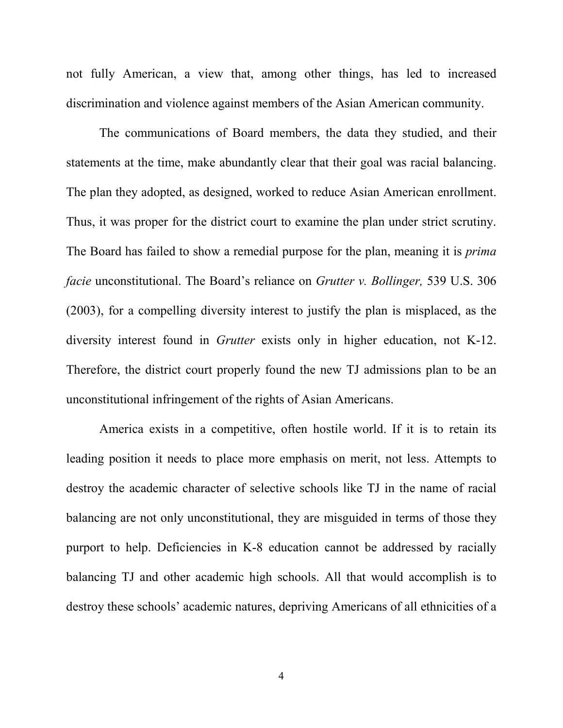not fully American, a view that, among other things, has led to increased discrimination and violence against members of the Asian American community.

 The communications of Board members, the data they studied, and their statements at the time, make abundantly clear that their goal was racial balancing. The plan they adopted, as designed, worked to reduce Asian American enrollment. Thus, it was proper for the district court to examine the plan under strict scrutiny. The Board has failed to show a remedial purpose for the plan, meaning it is *prima facie* unconstitutional. The Board's reliance on *Grutter v. Bollinger,* 539 U.S. 306 (2003), for a compelling diversity interest to justify the plan is misplaced, as the diversity interest found in *Grutter* exists only in higher education, not K-12. Therefore, the district court properly found the new TJ admissions plan to be an unconstitutional infringement of the rights of Asian Americans.

 America exists in a competitive, often hostile world. If it is to retain its leading position it needs to place more emphasis on merit, not less. Attempts to destroy the academic character of selective schools like TJ in the name of racial balancing are not only unconstitutional, they are misguided in terms of those they purport to help. Deficiencies in K-8 education cannot be addressed by racially balancing TJ and other academic high schools. All that would accomplish is to destroy these schools' academic natures, depriving Americans of all ethnicities of a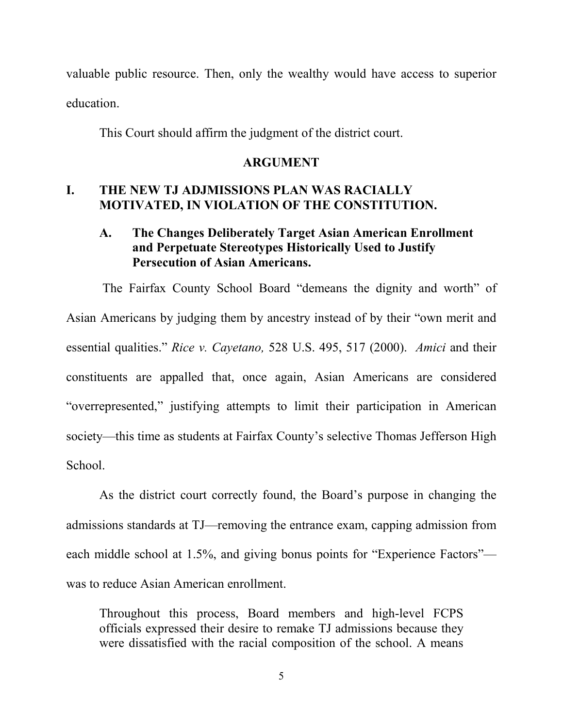valuable public resource. Then, only the wealthy would have access to superior education.

This Court should affirm the judgment of the district court.

#### **ARGUMENT**

## **I. THE NEW TJ ADJMISSIONS PLAN WAS RACIALLY MOTIVATED, IN VIOLATION OF THE CONSTITUTION.**

## **A. The Changes Deliberately Target Asian American Enrollment and Perpetuate Stereotypes Historically Used to Justify Persecution of Asian Americans.**

 The Fairfax County School Board "demeans the dignity and worth" of Asian Americans by judging them by ancestry instead of by their "own merit and essential qualities." *Rice v. Cayetano,* 528 U.S. 495, 517 (2000). *Amici* and their constituents are appalled that, once again, Asian Americans are considered "overrepresented," justifying attempts to limit their participation in American society—this time as students at Fairfax County's selective Thomas Jefferson High School.

As the district court correctly found, the Board's purpose in changing the admissions standards at TJ—removing the entrance exam, capping admission from each middle school at 1.5%, and giving bonus points for "Experience Factors" was to reduce Asian American enrollment.

Throughout this process, Board members and high-level FCPS officials expressed their desire to remake TJ admissions because they were dissatisfied with the racial composition of the school. A means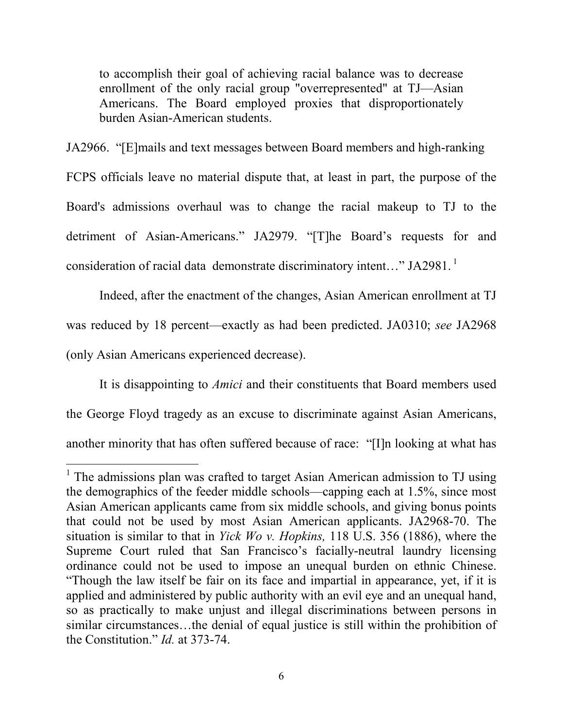to accomplish their goal of achieving racial balance was to decrease enrollment of the only racial group "overrepresented" at TJ—Asian Americans. The Board employed proxies that disproportionately burden Asian-American students.

JA2966. "[E]mails and text messages between Board members and high-ranking FCPS officials leave no material dispute that, at least in part, the purpose of the Board's admissions overhaul was to change the racial makeup to TJ to the detriment of Asian-Americans." JA2979. "[T]he Board's requests for and consideration of racial data demonstrate discriminatory intent..." JA2981.<sup>1</sup>

Indeed, after the enactment of the changes, Asian American enrollment at TJ was reduced by 18 percent—exactly as had been predicted. JA0310; *see* JA2968 (only Asian Americans experienced decrease).

It is disappointing to *Amici* and their constituents that Board members used the George Floyd tragedy as an excuse to discriminate against Asian Americans, another minority that has often suffered because of race: "[I]n looking at what has

-

<sup>&</sup>lt;sup>1</sup> The admissions plan was crafted to target Asian American admission to TJ using the demographics of the feeder middle schools—capping each at 1.5%, since most Asian American applicants came from six middle schools, and giving bonus points that could not be used by most Asian American applicants. JA2968-70. The situation is similar to that in *Yick Wo v. Hopkins,* 118 U.S. 356 (1886), where the Supreme Court ruled that San Francisco's facially-neutral laundry licensing ordinance could not be used to impose an unequal burden on ethnic Chinese. "Though the law itself be fair on its face and impartial in appearance, yet, if it is applied and administered by public authority with an evil eye and an unequal hand, so as practically to make unjust and illegal discriminations between persons in similar circumstances…the denial of equal justice is still within the prohibition of the Constitution." *Id.* at 373-74.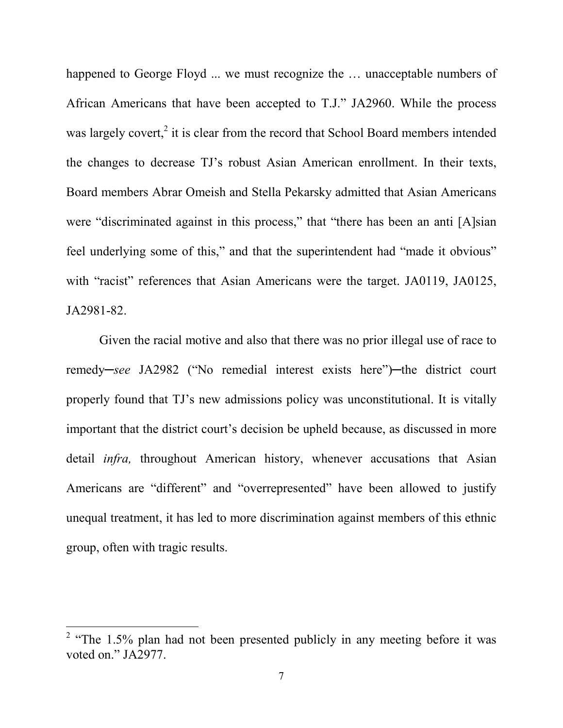happened to George Floyd ... we must recognize the ... unacceptable numbers of African Americans that have been accepted to T.J." JA2960. While the process was largely covert, $2$  it is clear from the record that School Board members intended the changes to decrease TJ's robust Asian American enrollment. In their texts, Board members Abrar Omeish and Stella Pekarsky admitted that Asian Americans were "discriminated against in this process," that "there has been an anti [A]sian feel underlying some of this," and that the superintendent had "made it obvious" with "racist" references that Asian Americans were the target. JA0119, JA0125, JA2981-82.

Given the racial motive and also that there was no prior illegal use of race to remedy—*see* JA2982 ("No remedial interest exists here")—the district court properly found that TJ's new admissions policy was unconstitutional. It is vitally important that the district court's decision be upheld because, as discussed in more detail *infra,* throughout American history, whenever accusations that Asian Americans are "different" and "overrepresented" have been allowed to justify unequal treatment, it has led to more discrimination against members of this ethnic group, often with tragic results.

<u>.</u>

<sup>&</sup>lt;sup>2</sup> "The 1.5% plan had not been presented publicly in any meeting before it was voted on." JA2977.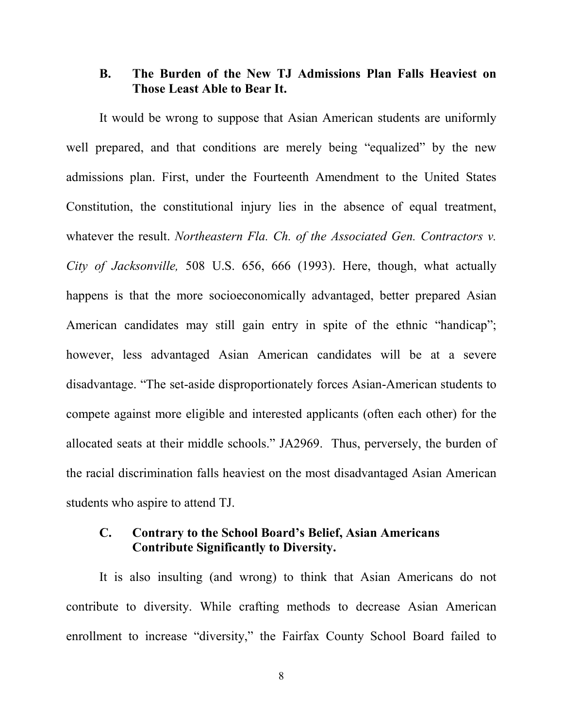#### **B. The Burden of the New TJ Admissions Plan Falls Heaviest on Those Least Able to Bear It.**

It would be wrong to suppose that Asian American students are uniformly well prepared, and that conditions are merely being "equalized" by the new admissions plan. First, under the Fourteenth Amendment to the United States Constitution, the constitutional injury lies in the absence of equal treatment, whatever the result. *Northeastern Fla. Ch. of the Associated Gen. Contractors v. City of Jacksonville,* 508 U.S. 656, 666 (1993). Here, though, what actually happens is that the more socioeconomically advantaged, better prepared Asian American candidates may still gain entry in spite of the ethnic "handicap"; however, less advantaged Asian American candidates will be at a severe disadvantage. "The set-aside disproportionately forces Asian-American students to compete against more eligible and interested applicants (often each other) for the allocated seats at their middle schools." JA2969. Thus, perversely, the burden of the racial discrimination falls heaviest on the most disadvantaged Asian American students who aspire to attend TJ.

#### **C. Contrary to the School Board's Belief, Asian Americans Contribute Significantly to Diversity.**

It is also insulting (and wrong) to think that Asian Americans do not contribute to diversity. While crafting methods to decrease Asian American enrollment to increase "diversity," the Fairfax County School Board failed to

8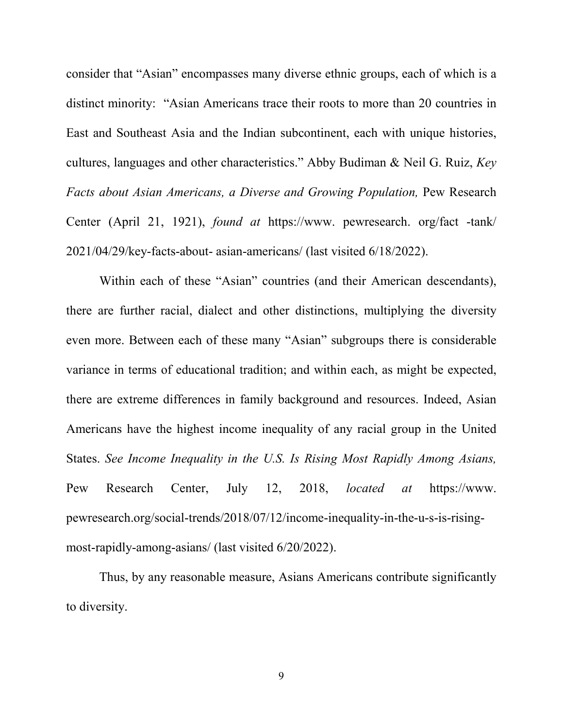consider that "Asian" encompasses many diverse ethnic groups, each of which is a distinct minority: "Asian Americans trace their roots to more than 20 countries in East and Southeast Asia and the Indian subcontinent, each with unique histories, cultures, languages and other characteristics." Abby Budiman & Neil G. Ruiz, *Key Facts about Asian Americans, a Diverse and Growing Population,* Pew Research Center (April 21, 1921), *found at* https://www. pewresearch. org/fact -tank/ 2021/04/29/key-facts-about- asian-americans/ (last visited 6/18/2022).

Within each of these "Asian" countries (and their American descendants), there are further racial, dialect and other distinctions, multiplying the diversity even more. Between each of these many "Asian" subgroups there is considerable variance in terms of educational tradition; and within each, as might be expected, there are extreme differences in family background and resources. Indeed, Asian Americans have the highest income inequality of any racial group in the United States. *See Income Inequality in the U.S. Is Rising Most Rapidly Among Asians,*  Pew Research Center, July 12, 2018, *located at* https://www. pewresearch.org/social-trends/2018/07/12/income-inequality-in-the-u-s-is-risingmost-rapidly-among-asians/ (last visited 6/20/2022).

Thus, by any reasonable measure, Asians Americans contribute significantly to diversity.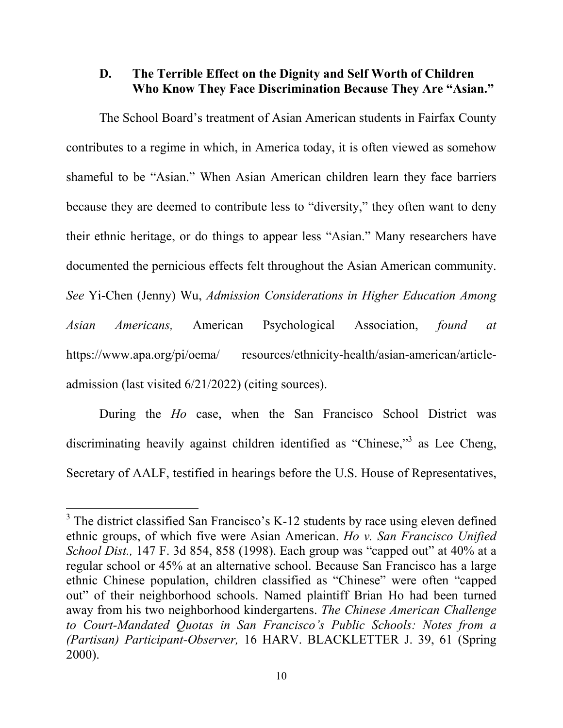#### **D. The Terrible Effect on the Dignity and Self Worth of Children Who Know They Face Discrimination Because They Are "Asian."**

 The School Board's treatment of Asian American students in Fairfax County contributes to a regime in which, in America today, it is often viewed as somehow shameful to be "Asian." When Asian American children learn they face barriers because they are deemed to contribute less to "diversity," they often want to deny their ethnic heritage, or do things to appear less "Asian." Many researchers have documented the pernicious effects felt throughout the Asian American community. *See* Yi-Chen (Jenny) Wu, *Admission Considerations in Higher Education Among Asian Americans,* American Psychological Association, *found at*  https://www.apa.org/pi/oema/ resources/ethnicity-health/asian-american/articleadmission (last visited 6/21/2022) (citing sources).

 During the *Ho* case, when the San Francisco School District was discriminating heavily against children identified as "Chinese,"<sup>3</sup> as Lee Cheng, Secretary of AALF, testified in hearings before the U.S. House of Representatives,

-

 $3$  The district classified San Francisco's K-12 students by race using eleven defined ethnic groups, of which five were Asian American. *Ho v. San Francisco Unified School Dist.,* 147 F. 3d 854, 858 (1998). Each group was "capped out" at 40% at a regular school or 45% at an alternative school. Because San Francisco has a large ethnic Chinese population, children classified as "Chinese" were often "capped out" of their neighborhood schools. Named plaintiff Brian Ho had been turned away from his two neighborhood kindergartens. *The Chinese American Challenge to Court-Mandated Quotas in San Francisco's Public Schools: Notes from a (Partisan) Participant-Observer,* 16 HARV. BLACKLETTER J. 39, 61 (Spring 2000).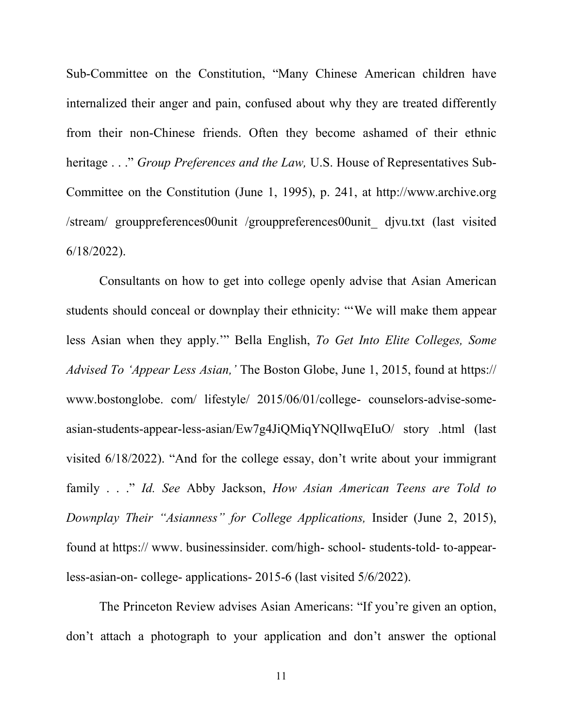Sub-Committee on the Constitution, "Many Chinese American children have internalized their anger and pain, confused about why they are treated differently from their non-Chinese friends. Often they become ashamed of their ethnic heritage . . ." *Group Preferences and the Law,* U.S. House of Representatives Sub-Committee on the Constitution (June 1, 1995), p. 241, at http://www.archive.org /stream/ grouppreferences00unit /grouppreferences00unit\_ djvu.txt (last visited 6/18/2022).

 Consultants on how to get into college openly advise that Asian American students should conceal or downplay their ethnicity: "'We will make them appear less Asian when they apply.'" Bella English, *To Get Into Elite Colleges, Some Advised To 'Appear Less Asian,'* The Boston Globe, June 1, 2015, found at https:// www.bostonglobe. com/ lifestyle/ 2015/06/01/college- counselors-advise-someasian-students-appear-less-asian/Ew7g4JiQMiqYNQlIwqEIuO/ story .html (last visited 6/18/2022). "And for the college essay, don't write about your immigrant family . . ." *Id. See* Abby Jackson, *How Asian American Teens are Told to Downplay Their "Asianness" for College Applications,* Insider (June 2, 2015), found at https:// www. businessinsider. com/high- school- students-told- to-appearless-asian-on- college- applications- 2015-6 (last visited 5/6/2022).

 The Princeton Review advises Asian Americans: "If you're given an option, don't attach a photograph to your application and don't answer the optional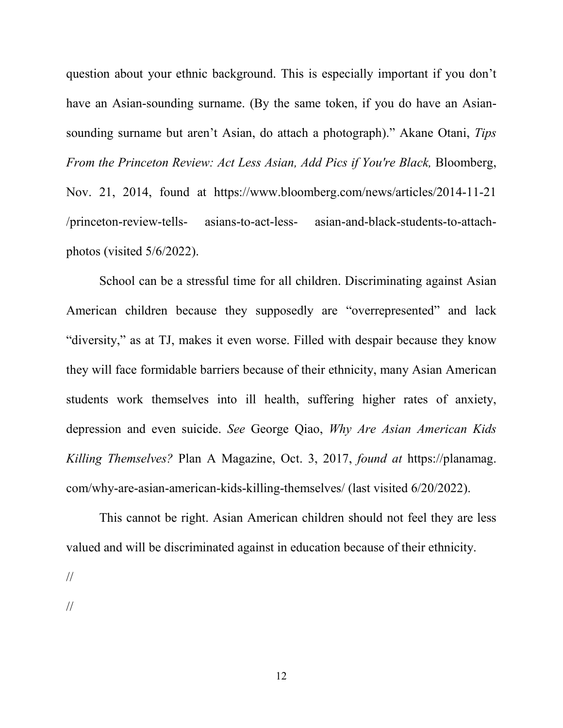question about your ethnic background. This is especially important if you don't have an Asian-sounding surname. (By the same token, if you do have an Asiansounding surname but aren't Asian, do attach a photograph)." Akane Otani, *Tips From the Princeton Review: Act Less Asian, Add Pics if You're Black,* Bloomberg, Nov. 21, 2014, found at https://www.bloomberg.com/news/articles/2014-11-21 /princeton-review-tells- asians-to-act-less- asian-and-black-students-to-attachphotos (visited 5/6/2022).

 School can be a stressful time for all children. Discriminating against Asian American children because they supposedly are "overrepresented" and lack "diversity," as at TJ, makes it even worse. Filled with despair because they know they will face formidable barriers because of their ethnicity, many Asian American students work themselves into ill health, suffering higher rates of anxiety, depression and even suicide. *See* George Qiao, *Why Are Asian American Kids Killing Themselves?* Plan A Magazine, Oct. 3, 2017, *found at* https://planamag. com/why-are-asian-american-kids-killing-themselves/ (last visited 6/20/2022).

 This cannot be right. Asian American children should not feel they are less valued and will be discriminated against in education because of their ethnicity.

//

//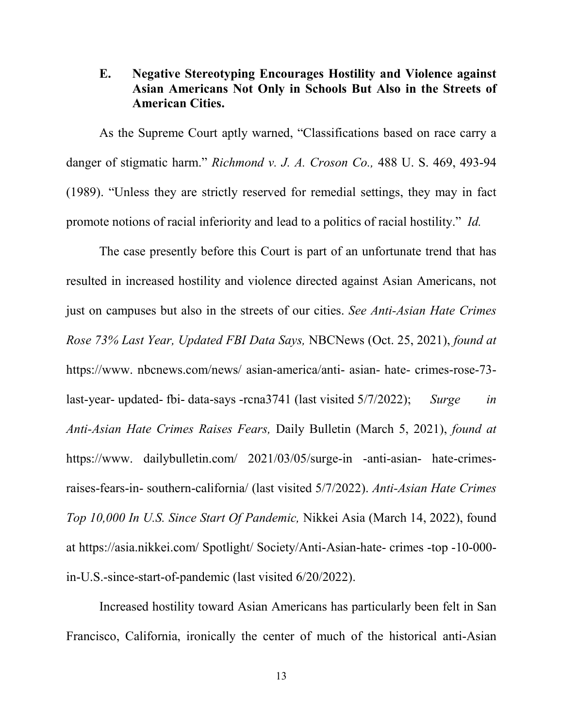## **E. Negative Stereotyping Encourages Hostility and Violence against Asian Americans Not Only in Schools But Also in the Streets of American Cities.**

 As the Supreme Court aptly warned, "Classifications based on race carry a danger of stigmatic harm." *Richmond v. J. A. Croson Co.,* 488 U. S. 469, 493-94 (1989). "Unless they are strictly reserved for remedial settings, they may in fact promote notions of racial inferiority and lead to a politics of racial hostility." *Id.*

 The case presently before this Court is part of an unfortunate trend that has resulted in increased hostility and violence directed against Asian Americans, not just on campuses but also in the streets of our cities. *See Anti-Asian Hate Crimes Rose 73% Last Year, Updated FBI Data Says,* NBCNews (Oct. 25, 2021), *found at* https://www. nbcnews.com/news/ asian-america/anti- asian- hate- crimes-rose-73 last-year- updated- fbi- data-says -rcna3741 (last visited 5/7/2022); *Surge in Anti-Asian Hate Crimes Raises Fears,* Daily Bulletin (March 5, 2021), *found at* https://www. dailybulletin.com/ 2021/03/05/surge-in -anti-asian- hate-crimesraises-fears-in- southern-california/ (last visited 5/7/2022). *Anti-Asian Hate Crimes Top 10,000 In U.S. Since Start Of Pandemic,* Nikkei Asia (March 14, 2022), found at https://asia.nikkei.com/ Spotlight/ Society/Anti-Asian-hate- crimes -top -10-000 in-U.S.-since-start-of-pandemic (last visited 6/20/2022).

 Increased hostility toward Asian Americans has particularly been felt in San Francisco, California, ironically the center of much of the historical anti-Asian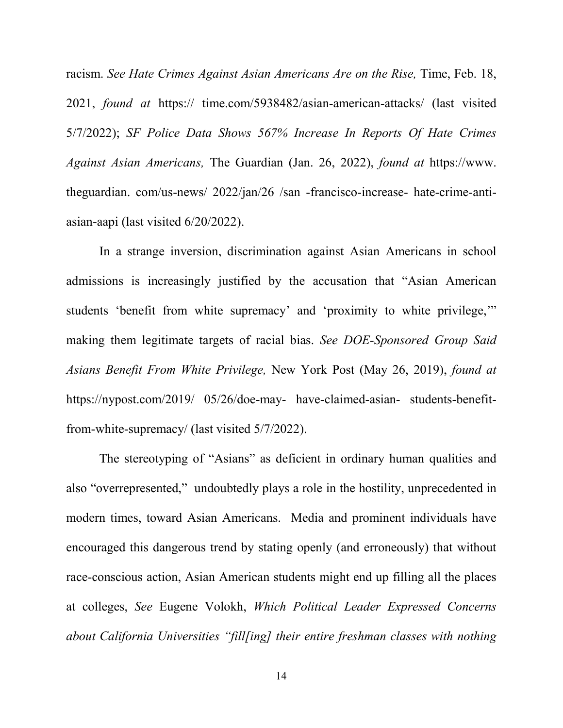racism. *See Hate Crimes Against Asian Americans Are on the Rise*, Time, Feb. 18, 2021, *found at* https:// time.com/5938482/asian-american-attacks/ (last visited 5/7/2022); *SF Police Data Shows 567% Increase In Reports Of Hate Crimes Against Asian Americans,* The Guardian (Jan. 26, 2022), *found at* https://www. theguardian. com/us-news/ 2022/jan/26 /san -francisco-increase- hate-crime-antiasian-aapi (last visited 6/20/2022).

 In a strange inversion, discrimination against Asian Americans in school admissions is increasingly justified by the accusation that "Asian American students 'benefit from white supremacy' and 'proximity to white privilege,'" making them legitimate targets of racial bias. *See DOE-Sponsored Group Said Asians Benefit From White Privilege,* New York Post (May 26, 2019), *found at*  https://nypost.com/2019/ 05/26/doe-may- have-claimed-asian- students-benefitfrom-white-supremacy/ (last visited 5/7/2022).

 The stereotyping of "Asians" as deficient in ordinary human qualities and also "overrepresented," undoubtedly plays a role in the hostility, unprecedented in modern times, toward Asian Americans. Media and prominent individuals have encouraged this dangerous trend by stating openly (and erroneously) that without race-conscious action, Asian American students might end up filling all the places at colleges, *See* Eugene Volokh, *Which Political Leader Expressed Concerns about California Universities "fill[ing] their entire freshman classes with nothing*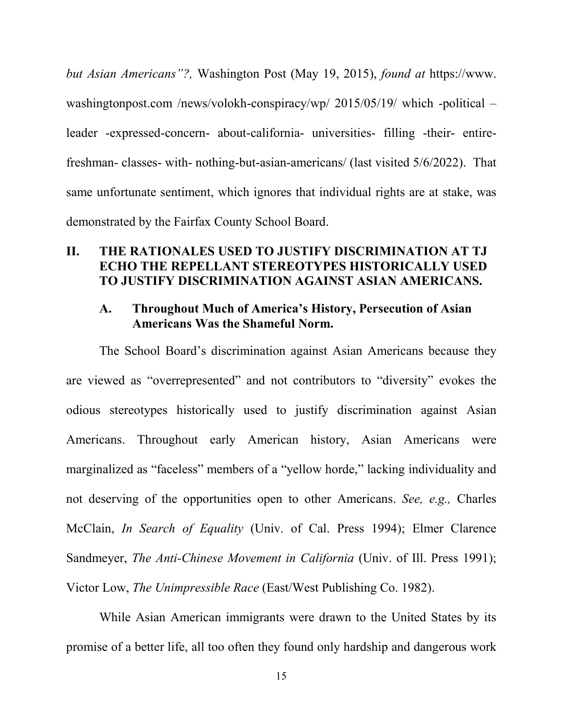*but Asian Americans"?,* Washington Post (May 19, 2015), *found at* https://www. washingtonpost.com /news/volokh-conspiracy/wp/ 2015/05/19/ which -political – leader -expressed-concern- about-california- universities- filling -their- entirefreshman- classes- with- nothing-but-asian-americans/ (last visited 5/6/2022). That same unfortunate sentiment, which ignores that individual rights are at stake, was demonstrated by the Fairfax County School Board.

#### **II. THE RATIONALES USED TO JUSTIFY DISCRIMINATION AT TJ ECHO THE REPELLANT STEREOTYPES HISTORICALLY USED TO JUSTIFY DISCRIMINATION AGAINST ASIAN AMERICANS.**

#### **A. Throughout Much of America's History, Persecution of Asian Americans Was the Shameful Norm.**

 The School Board's discrimination against Asian Americans because they are viewed as "overrepresented" and not contributors to "diversity" evokes the odious stereotypes historically used to justify discrimination against Asian Americans. Throughout early American history, Asian Americans were marginalized as "faceless" members of a "yellow horde," lacking individuality and not deserving of the opportunities open to other Americans. *See, e.g.,* Charles McClain, *In Search of Equality* (Univ. of Cal. Press 1994); Elmer Clarence Sandmeyer, *The Anti-Chinese Movement in California* (Univ. of Ill. Press 1991); Victor Low, *The Unimpressible Race* (East/West Publishing Co. 1982).

 While Asian American immigrants were drawn to the United States by its promise of a better life, all too often they found only hardship and dangerous work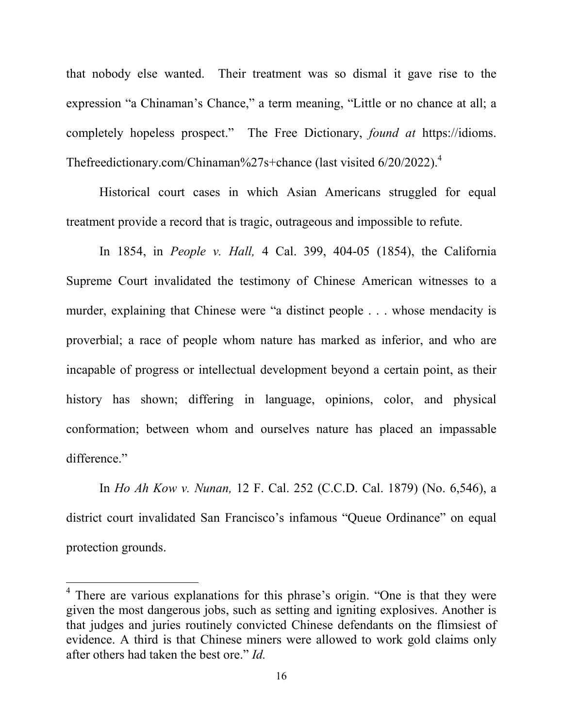that nobody else wanted. Their treatment was so dismal it gave rise to the expression "a Chinaman's Chance," a term meaning, "Little or no chance at all; a completely hopeless prospect." The Free Dictionary, *found at* https://idioms. Thefreedictionary.com/Chinaman%27s+chance (last visited  $6/20/2022$ ).<sup>4</sup>

 Historical court cases in which Asian Americans struggled for equal treatment provide a record that is tragic, outrageous and impossible to refute.

 In 1854, in *People v. Hall,* 4 Cal. 399, 404-05 (1854), the California Supreme Court invalidated the testimony of Chinese American witnesses to a murder, explaining that Chinese were "a distinct people . . . whose mendacity is proverbial; a race of people whom nature has marked as inferior, and who are incapable of progress or intellectual development beyond a certain point, as their history has shown; differing in language, opinions, color, and physical conformation; between whom and ourselves nature has placed an impassable difference."

 In *Ho Ah Kow v. Nunan,* 12 F. Cal. 252 (C.C.D. Cal. 1879) (No. 6,546), a district court invalidated San Francisco's infamous "Queue Ordinance" on equal protection grounds.

<u>.</u>

<sup>&</sup>lt;sup>4</sup> There are various explanations for this phrase's origin. "One is that they were given the most dangerous jobs, such as setting and igniting explosives. Another is that judges and juries routinely convicted Chinese defendants on the flimsiest of evidence. A third is that Chinese miners were allowed to work gold claims only after others had taken the best ore." *Id.*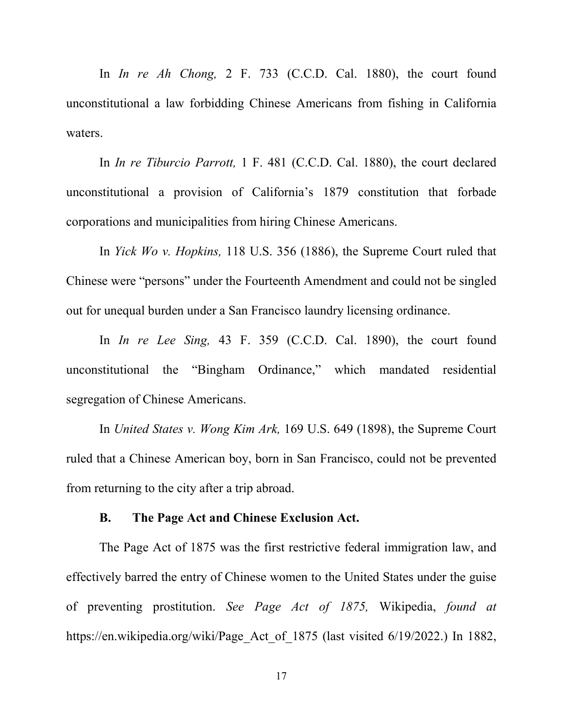In *In re Ah Chong,* 2 F. 733 (C.C.D. Cal. 1880), the court found unconstitutional a law forbidding Chinese Americans from fishing in California waters.

 In *In re Tiburcio Parrott,* 1 F. 481 (C.C.D. Cal. 1880), the court declared unconstitutional a provision of California's 1879 constitution that forbade corporations and municipalities from hiring Chinese Americans.

 In *Yick Wo v. Hopkins,* 118 U.S. 356 (1886), the Supreme Court ruled that Chinese were "persons" under the Fourteenth Amendment and could not be singled out for unequal burden under a San Francisco laundry licensing ordinance.

 In *In re Lee Sing,* 43 F. 359 (C.C.D. Cal. 1890), the court found unconstitutional the "Bingham Ordinance," which mandated residential segregation of Chinese Americans.

 In *United States v. Wong Kim Ark,* 169 U.S. 649 (1898), the Supreme Court ruled that a Chinese American boy, born in San Francisco, could not be prevented from returning to the city after a trip abroad.

#### **B. The Page Act and Chinese Exclusion Act.**

 The Page Act of 1875 was the first restrictive federal immigration law, and effectively barred the entry of Chinese women to the United States under the guise of preventing prostitution. *See Page Act of 1875,* Wikipedia, *found at*  https://en.wikipedia.org/wiki/Page Act of 1875 (last visited 6/19/2022.) In 1882,

17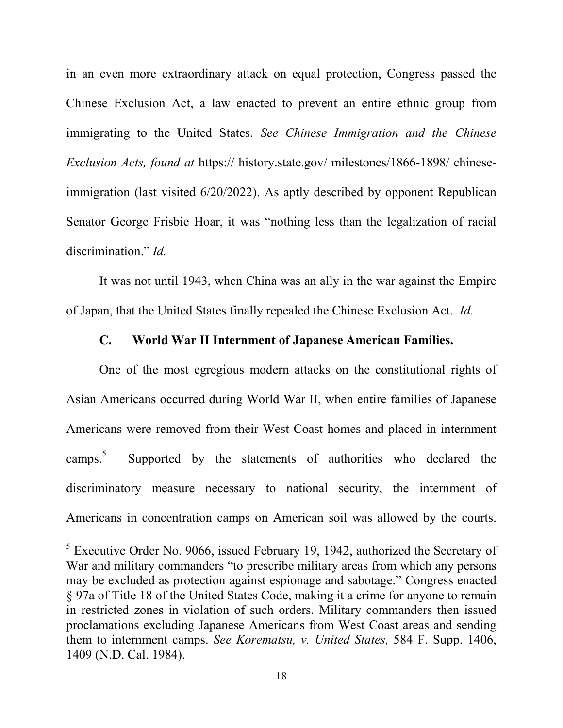in an even more extraordinary attack on equal protection, Congress passed the Chinese Exclusion Act, a law enacted to prevent an entire ethnic group from immigrating to the United States. *See Chinese Immigration and the Chinese Exclusion Acts, found at* https:// history.state.gov/ milestones/1866-1898/ chineseimmigration (last visited 6/20/2022). As aptly described by opponent Republican Senator George Frisbie Hoar, it was "nothing less than the legalization of racial discrimination." *Id.*

 It was not until 1943, when China was an ally in the war against the Empire of Japan, that the United States finally repealed the Chinese Exclusion Act. *Id.*

#### **C. World War II Internment of Japanese American Families.**

 One of the most egregious modern attacks on the constitutional rights of Asian Americans occurred during World War II, when entire families of Japanese Americans were removed from their West Coast homes and placed in internment camps. 5 Supported by the statements of authorities who declared the discriminatory measure necessary to national security, the internment of Americans in concentration camps on American soil was allowed by the courts.

-

<sup>&</sup>lt;sup>5</sup> Executive Order No. 9066, issued February 19, 1942, authorized the Secretary of War and military commanders "to prescribe military areas from which any persons may be excluded as protection against espionage and sabotage." Congress enacted § 97a of Title 18 of the United States Code, making it a crime for anyone to remain in restricted zones in violation of such orders. Military commanders then issued proclamations excluding Japanese Americans from West Coast areas and sending them to internment camps. *See Korematsu, v. United States,* 584 F. Supp. 1406, 1409 (N.D. Cal. 1984).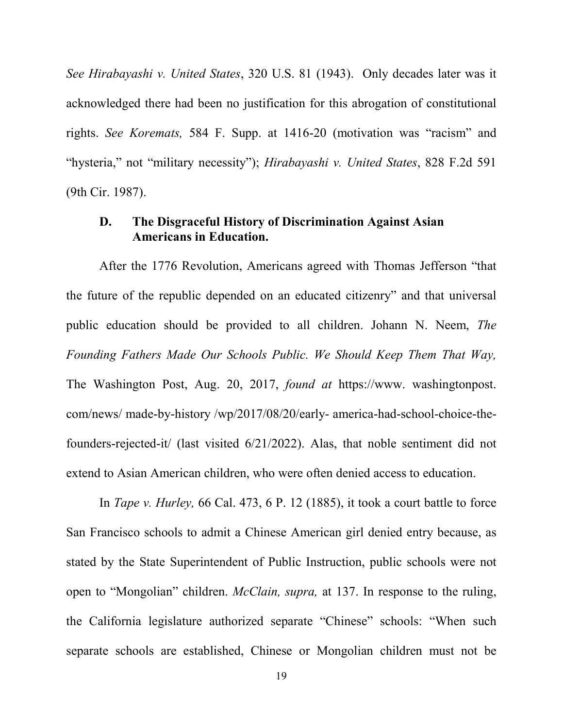*See Hirabayashi v. United States*, 320 U.S. 81 (1943). Only decades later was it acknowledged there had been no justification for this abrogation of constitutional rights. *See Koremats,* 584 F. Supp. at 1416-20 (motivation was "racism" and "hysteria," not "military necessity"); *Hirabayashi v. United States*, 828 F.2d 591 (9th Cir. 1987).

## **D. The Disgraceful History of Discrimination Against Asian Americans in Education.**

 After the 1776 Revolution, Americans agreed with Thomas Jefferson "that the future of the republic depended on an educated citizenry" and that universal public education should be provided to all children. Johann N. Neem, *The Founding Fathers Made Our Schools Public. We Should Keep Them That Way,*  The Washington Post, Aug. 20, 2017, *found at* https://www. washingtonpost. com/news/ made-by-history /wp/2017/08/20/early- america-had-school-choice-thefounders-rejected-it/ (last visited 6/21/2022). Alas, that noble sentiment did not extend to Asian American children, who were often denied access to education.

 In *Tape v. Hurley,* 66 Cal. 473, 6 P. 12 (1885), it took a court battle to force San Francisco schools to admit a Chinese American girl denied entry because, as stated by the State Superintendent of Public Instruction, public schools were not open to "Mongolian" children. *McClain, supra,* at 137. In response to the ruling, the California legislature authorized separate "Chinese" schools: "When such separate schools are established, Chinese or Mongolian children must not be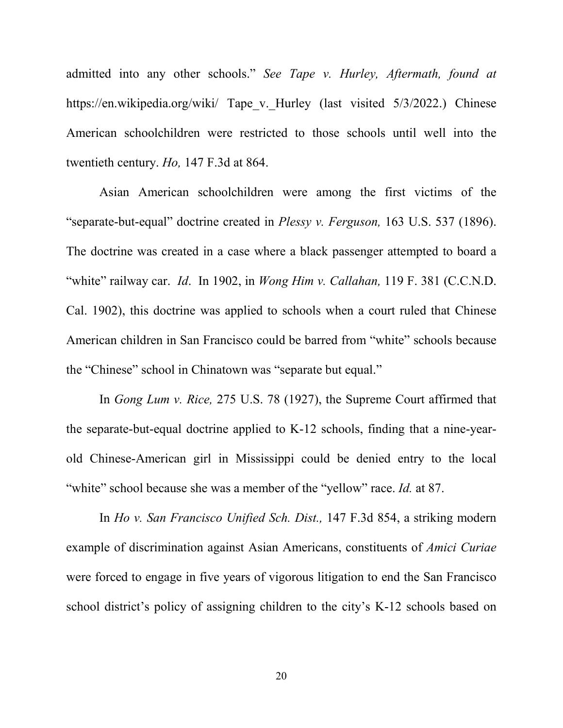admitted into any other schools." *See Tape v. Hurley, Aftermath, found at* https://en.wikipedia.org/wiki/ Tape\_v.\_Hurley (last visited 5/3/2022.) Chinese American schoolchildren were restricted to those schools until well into the twentieth century. *Ho,* 147 F.3d at 864.

 Asian American schoolchildren were among the first victims of the "separate-but-equal" doctrine created in *Plessy v. Ferguson,* 163 U.S. 537 (1896). The doctrine was created in a case where a black passenger attempted to board a "white" railway car. *Id*. In 1902, in *Wong Him v. Callahan,* 119 F. 381 (C.C.N.D. Cal. 1902), this doctrine was applied to schools when a court ruled that Chinese American children in San Francisco could be barred from "white" schools because the "Chinese" school in Chinatown was "separate but equal."

 In *Gong Lum v. Rice,* 275 U.S. 78 (1927), the Supreme Court affirmed that the separate-but-equal doctrine applied to K-12 schools, finding that a nine-yearold Chinese-American girl in Mississippi could be denied entry to the local "white" school because she was a member of the "yellow" race. *Id.* at 87.

 In *Ho v. San Francisco Unified Sch. Dist.,* 147 F.3d 854, a striking modern example of discrimination against Asian Americans, constituents of *Amici Curiae*  were forced to engage in five years of vigorous litigation to end the San Francisco school district's policy of assigning children to the city's K-12 schools based on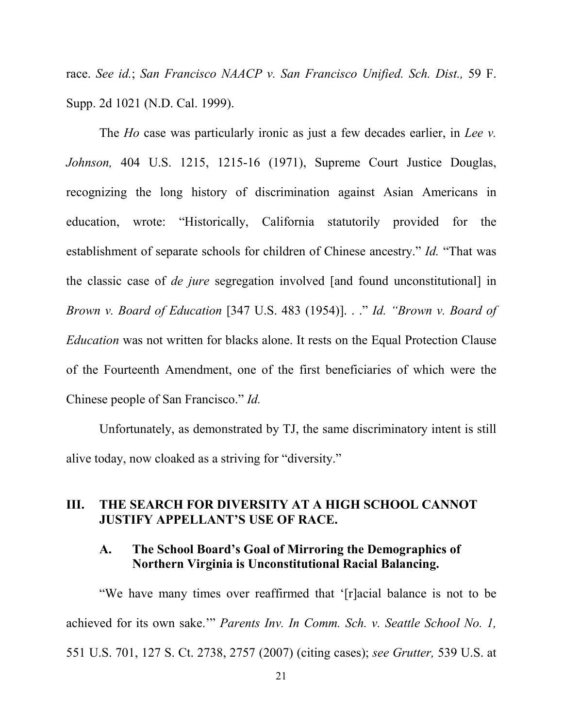race. *See id.*; *San Francisco NAACP v. San Francisco Unified. Sch. Dist.,* 59 F. Supp. 2d 1021 (N.D. Cal. 1999).

 The *Ho* case was particularly ironic as just a few decades earlier, in *Lee v. Johnson,* 404 U.S. 1215, 1215-16 (1971), Supreme Court Justice Douglas, recognizing the long history of discrimination against Asian Americans in education, wrote: "Historically, California statutorily provided for the establishment of separate schools for children of Chinese ancestry." *Id.* "That was the classic case of *de jure* segregation involved [and found unconstitutional] in *Brown v. Board of Education* [347 U.S. 483 (1954)]. . ." *Id. "Brown v. Board of Education* was not written for blacks alone. It rests on the Equal Protection Clause of the Fourteenth Amendment, one of the first beneficiaries of which were the Chinese people of San Francisco." *Id.*

 Unfortunately, as demonstrated by TJ, the same discriminatory intent is still alive today, now cloaked as a striving for "diversity."

## **III. THE SEARCH FOR DIVERSITY AT A HIGH SCHOOL CANNOT JUSTIFY APPELLANT'S USE OF RACE.**

#### **A. The School Board's Goal of Mirroring the Demographics of Northern Virginia is Unconstitutional Racial Balancing.**

 "We have many times over reaffirmed that '[r]acial balance is not to be achieved for its own sake.'" *Parents Inv. In Comm. Sch. v. Seattle School No. 1,* 551 U.S. 701, 127 S. Ct. 2738, 2757 (2007) (citing cases); *see Grutter,* 539 U.S. at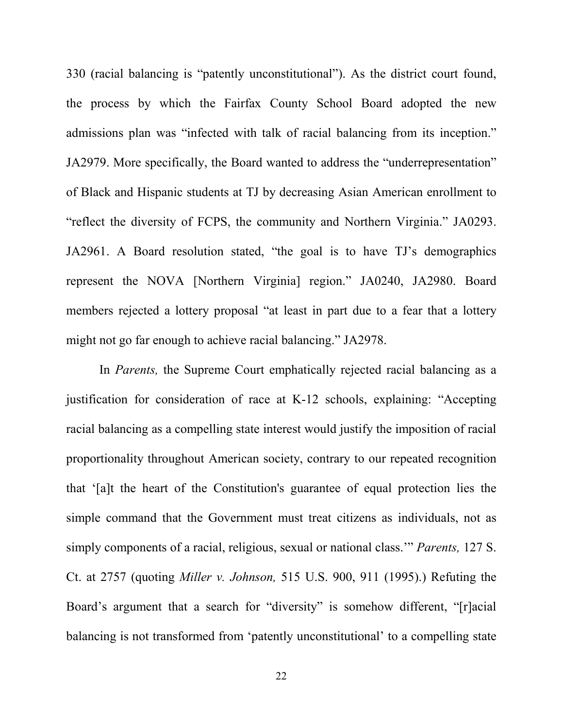330 (racial balancing is "patently unconstitutional"). As the district court found, the process by which the Fairfax County School Board adopted the new admissions plan was "infected with talk of racial balancing from its inception." JA2979. More specifically, the Board wanted to address the "underrepresentation" of Black and Hispanic students at TJ by decreasing Asian American enrollment to "reflect the diversity of FCPS, the community and Northern Virginia." JA0293. JA2961. A Board resolution stated, "the goal is to have TJ's demographics represent the NOVA [Northern Virginia] region." JA0240, JA2980. Board members rejected a lottery proposal "at least in part due to a fear that a lottery might not go far enough to achieve racial balancing." JA2978.

 In *Parents,* the Supreme Court emphatically rejected racial balancing as a justification for consideration of race at K-12 schools, explaining: "Accepting racial balancing as a compelling state interest would justify the imposition of racial proportionality throughout American society, contrary to our repeated recognition that '[a]t the heart of the Constitution's guarantee of equal protection lies the simple command that the Government must treat citizens as individuals, not as simply components of a racial, religious, sexual or national class.'" *Parents,* 127 S. Ct. at 2757 (quoting *Miller v. Johnson,* 515 U.S. 900, 911 (1995).) Refuting the Board's argument that a search for "diversity" is somehow different, "[r]acial balancing is not transformed from 'patently unconstitutional' to a compelling state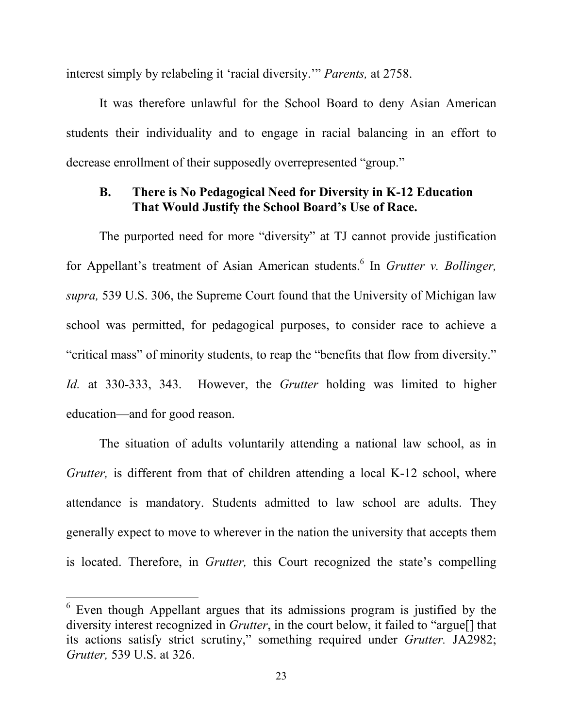interest simply by relabeling it 'racial diversity.'" *Parents,* at 2758.

 It was therefore unlawful for the School Board to deny Asian American students their individuality and to engage in racial balancing in an effort to decrease enrollment of their supposedly overrepresented "group."

#### **B. There is No Pedagogical Need for Diversity in K-12 Education That Would Justify the School Board's Use of Race.**

 The purported need for more "diversity" at TJ cannot provide justification for Appellant's treatment of Asian American students. 6 In *Grutter v. Bollinger, supra,* 539 U.S. 306, the Supreme Court found that the University of Michigan law school was permitted, for pedagogical purposes, to consider race to achieve a "critical mass" of minority students, to reap the "benefits that flow from diversity." *Id.* at 330-333, 343. However, the *Grutter* holding was limited to higher education—and for good reason.

 The situation of adults voluntarily attending a national law school, as in *Grutter,* is different from that of children attending a local K-12 school, where attendance is mandatory. Students admitted to law school are adults. They generally expect to move to wherever in the nation the university that accepts them is located. Therefore, in *Grutter,* this Court recognized the state's compelling

<u>.</u>

 $6$  Even though Appellant argues that its admissions program is justified by the diversity interest recognized in *Grutter*, in the court below, it failed to "argue[] that its actions satisfy strict scrutiny," something required under *Grutter.* JA2982; *Grutter,* 539 U.S. at 326.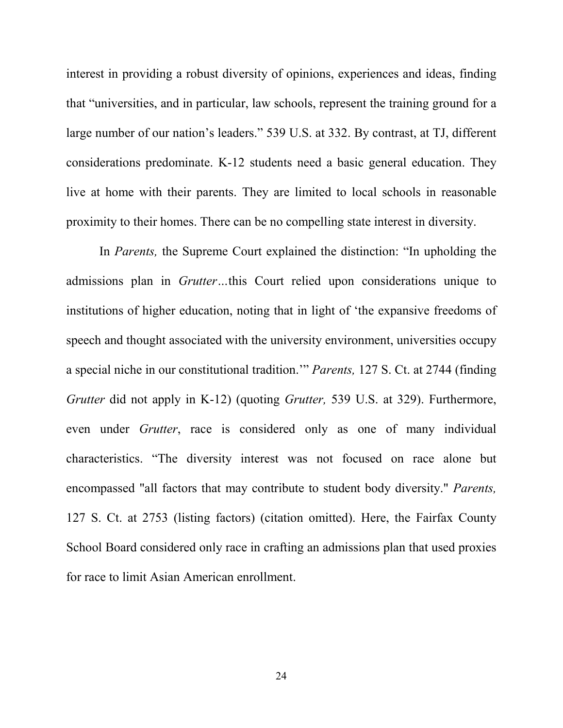interest in providing a robust diversity of opinions, experiences and ideas, finding that "universities, and in particular, law schools, represent the training ground for a large number of our nation's leaders." 539 U.S. at 332. By contrast, at TJ, different considerations predominate. K-12 students need a basic general education. They live at home with their parents. They are limited to local schools in reasonable proximity to their homes. There can be no compelling state interest in diversity.

 In *Parents,* the Supreme Court explained the distinction: "In upholding the admissions plan in *Grutter…*this Court relied upon considerations unique to institutions of higher education, noting that in light of 'the expansive freedoms of speech and thought associated with the university environment, universities occupy a special niche in our constitutional tradition.'" *Parents,* 127 S. Ct. at 2744 (finding *Grutter* did not apply in K-12) (quoting *Grutter,* 539 U.S. at 329). Furthermore, even under *Grutter*, race is considered only as one of many individual characteristics. "The diversity interest was not focused on race alone but encompassed "all factors that may contribute to student body diversity." *Parents,*  127 S. Ct. at 2753 (listing factors) (citation omitted). Here, the Fairfax County School Board considered only race in crafting an admissions plan that used proxies for race to limit Asian American enrollment.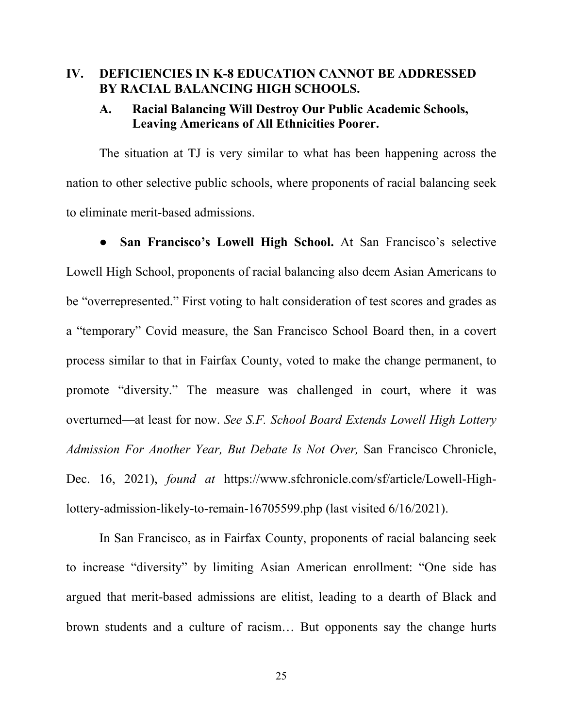#### **IV. DEFICIENCIES IN K-8 EDUCATION CANNOT BE ADDRESSED BY RACIAL BALANCING HIGH SCHOOLS.**

## **A. Racial Balancing Will Destroy Our Public Academic Schools, Leaving Americans of All Ethnicities Poorer.**

The situation at TJ is very similar to what has been happening across the nation to other selective public schools, where proponents of racial balancing seek to eliminate merit-based admissions.

San Francisco's Lowell High School. At San Francisco's selective Lowell High School, proponents of racial balancing also deem Asian Americans to be "overrepresented." First voting to halt consideration of test scores and grades as a "temporary" Covid measure, the San Francisco School Board then, in a covert process similar to that in Fairfax County, voted to make the change permanent, to promote "diversity." The measure was challenged in court, where it was overturned—at least for now. *See S.F. School Board Extends Lowell High Lottery Admission For Another Year, But Debate Is Not Over,* San Francisco Chronicle, Dec. 16, 2021), *found at* https://www.sfchronicle.com/sf/article/Lowell-Highlottery-admission-likely-to-remain-16705599.php (last visited 6/16/2021).

In San Francisco, as in Fairfax County, proponents of racial balancing seek to increase "diversity" by limiting Asian American enrollment: "One side has argued that merit-based admissions are elitist, leading to a dearth of Black and brown students and a culture of racism… But opponents say the change hurts

25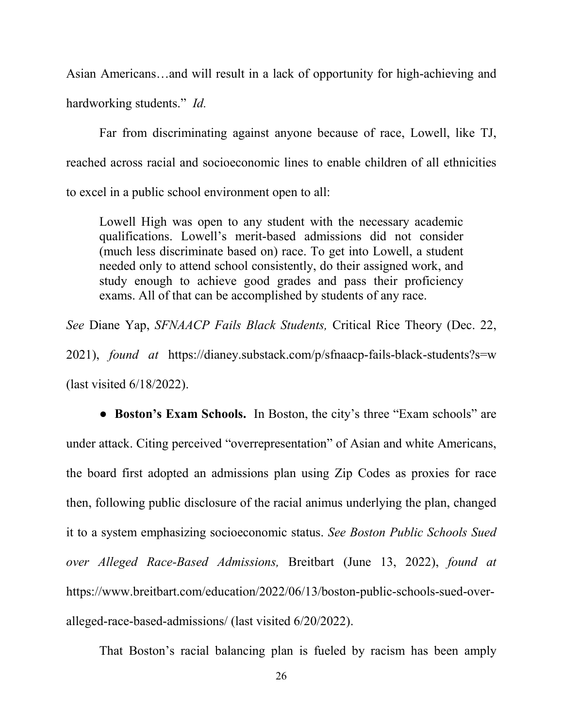Asian Americans…and will result in a lack of opportunity for high-achieving and hardworking students." *Id.* 

Far from discriminating against anyone because of race, Lowell, like TJ, reached across racial and socioeconomic lines to enable children of all ethnicities to excel in a public school environment open to all:

Lowell High was open to any student with the necessary academic qualifications. Lowell's merit-based admissions did not consider (much less discriminate based on) race. To get into Lowell, a student needed only to attend school consistently, do their assigned work, and study enough to achieve good grades and pass their proficiency exams. All of that can be accomplished by students of any race.

*See* Diane Yap, *SFNAACP Fails Black Students,* Critical Rice Theory (Dec. 22, 2021), *found at* https://dianey.substack.com/p/sfnaacp-fails-black-students?s=w (last visited 6/18/2022).

*●* **Boston's Exam Schools.** In Boston, the city's three "Exam schools" are under attack. Citing perceived "overrepresentation" of Asian and white Americans, the board first adopted an admissions plan using Zip Codes as proxies for race then, following public disclosure of the racial animus underlying the plan, changed it to a system emphasizing socioeconomic status. *See Boston Public Schools Sued over Alleged Race-Based Admissions,* Breitbart (June 13, 2022), *found at*  https://www.breitbart.com/education/2022/06/13/boston-public-schools-sued-overalleged-race-based-admissions/ (last visited 6/20/2022).

That Boston's racial balancing plan is fueled by racism has been amply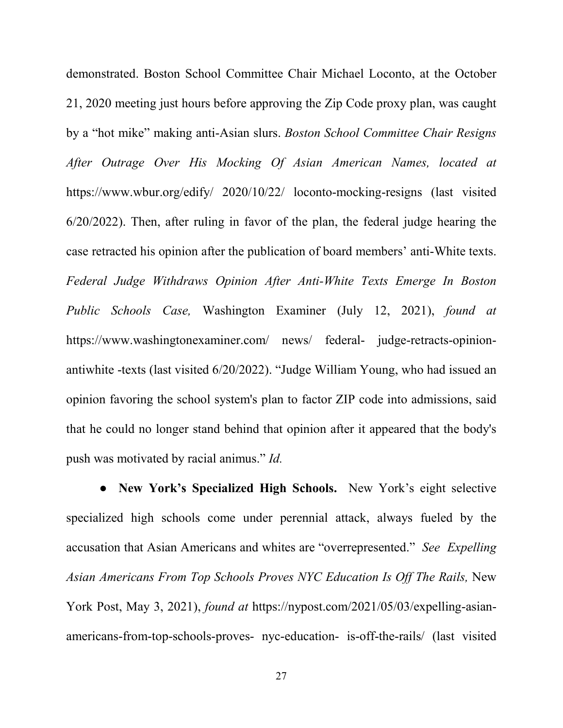demonstrated. Boston School Committee Chair Michael Loconto, at the October 21, 2020 meeting just hours before approving the Zip Code proxy plan, was caught by a "hot mike" making anti-Asian slurs. *Boston School Committee Chair Resigns After Outrage Over His Mocking Of Asian American Names, located at*  https://www.wbur.org/edify/ 2020/10/22/ loconto-mocking-resigns (last visited 6/20/2022). Then, after ruling in favor of the plan, the federal judge hearing the case retracted his opinion after the publication of board members' anti-White texts. *Federal Judge Withdraws Opinion After Anti-White Texts Emerge In Boston Public Schools Case,* Washington Examiner (July 12, 2021), *found at* https://www.washingtonexaminer.com/ news/ federal- judge-retracts-opinionantiwhite -texts (last visited 6/20/2022). "Judge William Young, who had issued an opinion favoring the school system's plan to factor ZIP code into admissions, said that he could no longer stand behind that opinion after it appeared that the body's push was motivated by racial animus." *Id.* 

 **● New York's Specialized High Schools.** New York's eight selective specialized high schools come under perennial attack, always fueled by the accusation that Asian Americans and whites are "overrepresented." *See Expelling Asian Americans From Top Schools Proves NYC Education Is Off The Rails,* New York Post, May 3, 2021), *found at* https://nypost.com/2021/05/03/expelling-asianamericans-from-top-schools-proves- nyc-education- is-off-the-rails/ (last visited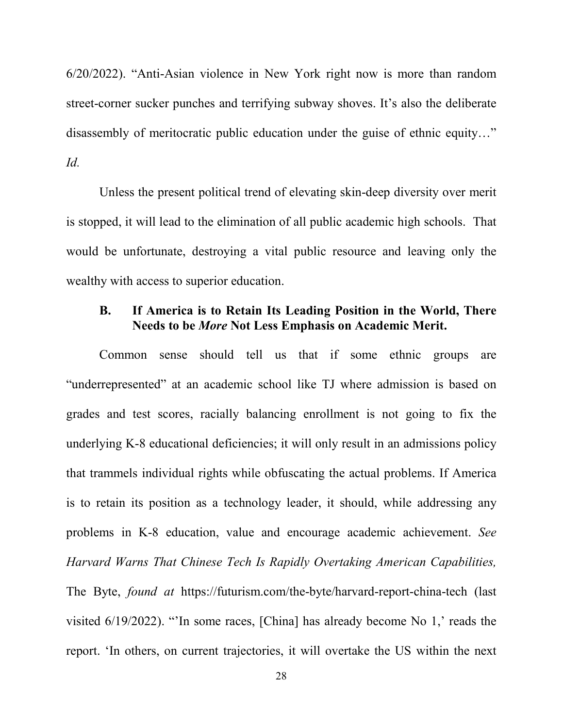6/20/2022). "Anti-Asian violence in New York right now is more than random street-corner sucker punches and terrifying subway shoves. It's also the deliberate disassembly of meritocratic public education under the guise of ethnic equity…" *Id.* 

Unless the present political trend of elevating skin-deep diversity over merit is stopped, it will lead to the elimination of all public academic high schools. That would be unfortunate, destroying a vital public resource and leaving only the wealthy with access to superior education.

## **B. If America is to Retain Its Leading Position in the World, There Needs to be** *More* **Not Less Emphasis on Academic Merit.**

Common sense should tell us that if some ethnic groups are "underrepresented" at an academic school like TJ where admission is based on grades and test scores, racially balancing enrollment is not going to fix the underlying K-8 educational deficiencies; it will only result in an admissions policy that trammels individual rights while obfuscating the actual problems. If America is to retain its position as a technology leader, it should, while addressing any problems in K-8 education, value and encourage academic achievement. *See Harvard Warns That Chinese Tech Is Rapidly Overtaking American Capabilities,*  The Byte, *found at* https://futurism.com/the-byte/harvard-report-china-tech (last visited 6/19/2022). "'In some races, [China] has already become No 1,' reads the report. 'In others, on current trajectories, it will overtake the US within the next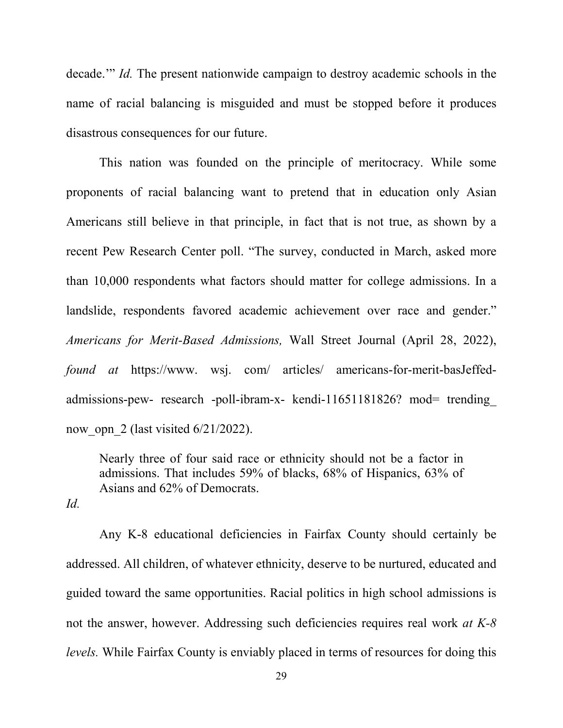decade.'" *Id.* The present nationwide campaign to destroy academic schools in the name of racial balancing is misguided and must be stopped before it produces disastrous consequences for our future.

 This nation was founded on the principle of meritocracy. While some proponents of racial balancing want to pretend that in education only Asian Americans still believe in that principle, in fact that is not true, as shown by a recent Pew Research Center poll. "The survey, conducted in March, asked more than 10,000 respondents what factors should matter for college admissions. In a landslide, respondents favored academic achievement over race and gender." *Americans for Merit-Based Admissions,* Wall Street Journal (April 28, 2022), *found at* https://www. wsj. com/ articles/ americans-for-merit-basJeffedadmissions-pew- research -poll-ibram-x- kendi-11651181826? mod= trending now opn 2 (last visited  $6/21/2022$ ).

Nearly three of four said race or ethnicity should not be a factor in admissions. That includes 59% of blacks, 68% of Hispanics, 63% of Asians and 62% of Democrats.

*Id.* 

 Any K-8 educational deficiencies in Fairfax County should certainly be addressed. All children, of whatever ethnicity, deserve to be nurtured, educated and guided toward the same opportunities. Racial politics in high school admissions is not the answer, however. Addressing such deficiencies requires real work *at K-8 levels.* While Fairfax County is enviably placed in terms of resources for doing this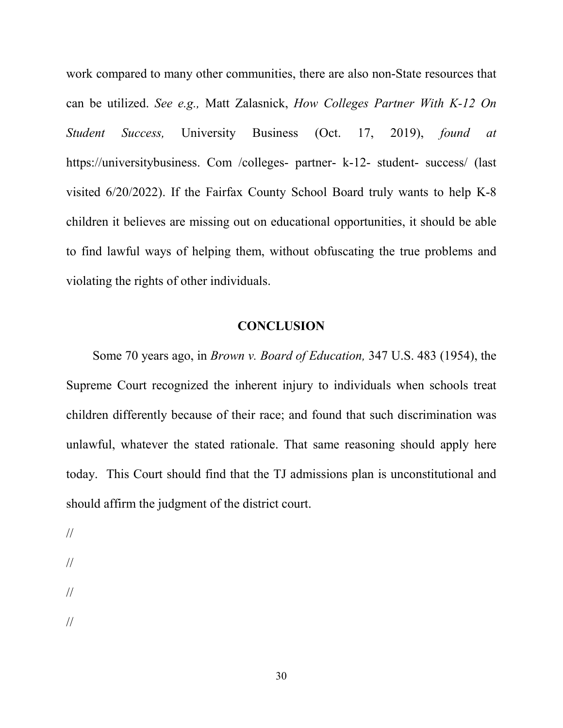work compared to many other communities, there are also non-State resources that can be utilized. *See e.g.,* Matt Zalasnick, *How Colleges Partner With K-12 On Student Success,* University Business (Oct. 17, 2019), *found at* https://universitybusiness. Com /colleges- partner- k-12- student- success/ (last visited 6/20/2022). If the Fairfax County School Board truly wants to help K-8 children it believes are missing out on educational opportunities, it should be able to find lawful ways of helping them, without obfuscating the true problems and violating the rights of other individuals.

#### **CONCLUSION**

 Some 70 years ago, in *Brown v. Board of Education,* 347 U.S. 483 (1954), the Supreme Court recognized the inherent injury to individuals when schools treat children differently because of their race; and found that such discrimination was unlawful, whatever the stated rationale. That same reasoning should apply here today. This Court should find that the TJ admissions plan is unconstitutional and should affirm the judgment of the district court.

- //
- //
- //
- 
- //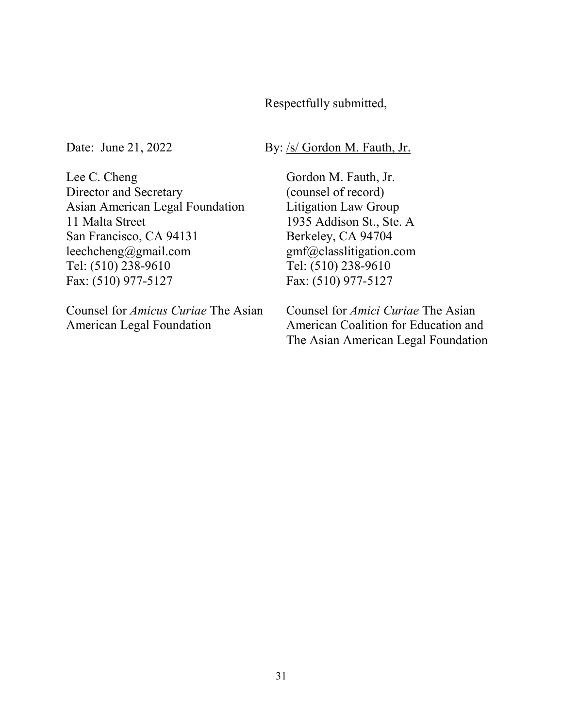## Respectfully submitted,

Date: June 21, 2022 By: /s/ Gordon M. Fauth, Jr.

Lee C. Cheng Director and Secretary Asian American Legal Foundation 11 Malta Street San Francisco, CA 94131 leechcheng@gmail.com Tel: (510) 238-9610 Fax: (510) 977-5127

Counsel for *Amicus Curiae* The Asian American Legal Foundation

Gordon M. Fauth, Jr. (counsel of record) Litigation Law Group 1935 Addison St., Ste. A Berkeley, CA 94704 gmf@classlitigation.com Tel: (510) 238-9610 Fax: (510) 977-5127

Counsel for *Amici Curiae* The Asian American Coalition for Education and The Asian American Legal Foundation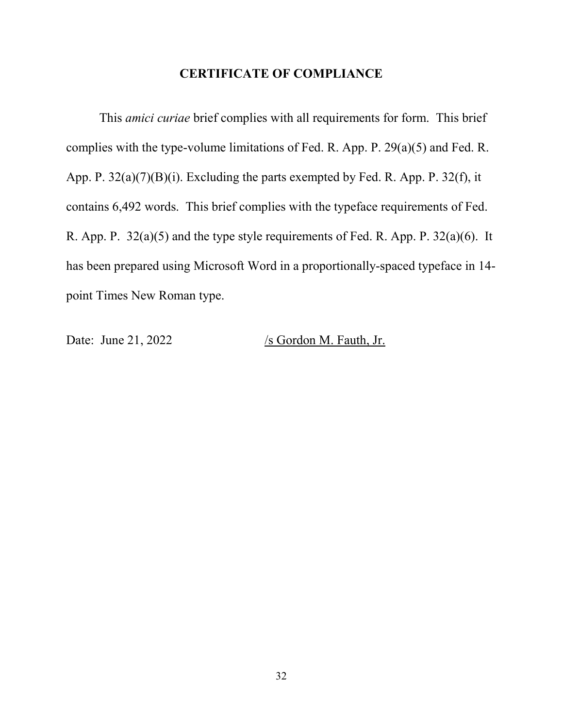## **CERTIFICATE OF COMPLIANCE**

 This *amici curiae* brief complies with all requirements for form. This brief complies with the type-volume limitations of Fed. R. App. P. 29(a)(5) and Fed. R. App. P. 32(a)(7)(B)(i). Excluding the parts exempted by Fed. R. App. P. 32(f), it contains 6,492 words. This brief complies with the typeface requirements of Fed. R. App. P. 32(a)(5) and the type style requirements of Fed. R. App. P. 32(a)(6). It has been prepared using Microsoft Word in a proportionally-spaced typeface in 14 point Times New Roman type.

Date: June 21, 2022 /s Gordon M. Fauth, Jr.